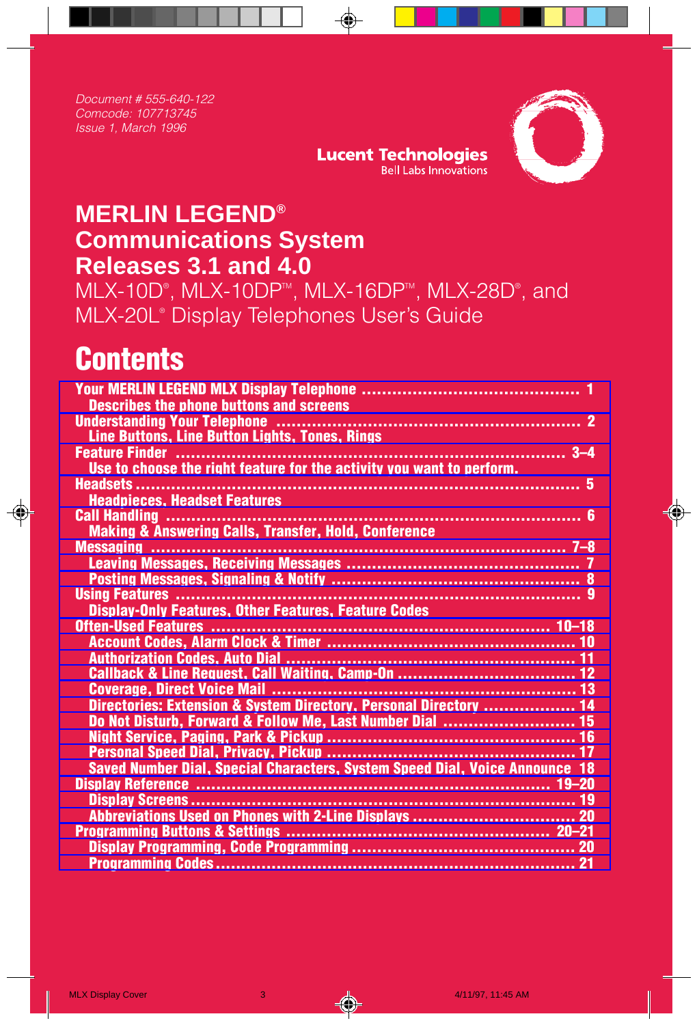Document # 555-640-122 Comcode: 107713745 Issue 1, March 1996



## **MERLIN LEGEND® Communications System Releases 3.1 and 4.0**

MLX-10D®, MLX-10DP™, MLX-16DP™, MLX-28D®, and MLX-20L® Display Telephones User's Guide

## **Contents**

| <b>Describes the phone buttons and screens</b>                              |  |
|-----------------------------------------------------------------------------|--|
|                                                                             |  |
| Line Buttons, Line Button Lights, Tones, Rings                              |  |
|                                                                             |  |
| Use to choose the right feature for the activity you want to perform.       |  |
|                                                                             |  |
| <b>Headpieces, Headset Features</b>                                         |  |
| <b>Call Handling </b>                                                       |  |
| <b>Making &amp; Answering Calls, Transfer, Hold, Conference</b>             |  |
|                                                                             |  |
|                                                                             |  |
|                                                                             |  |
|                                                                             |  |
| <b>Display-Only Features, Other Features, Feature Codes</b>                 |  |
|                                                                             |  |
|                                                                             |  |
|                                                                             |  |
|                                                                             |  |
|                                                                             |  |
| Directories: Extension & System Directory, Personal Directory  14           |  |
| Do Not Disturb, Forward & Follow Me, Last Number Dial  15                   |  |
|                                                                             |  |
|                                                                             |  |
| Saved Number Dial, Special Characters, System Speed Dial, Voice Announce 18 |  |
|                                                                             |  |
|                                                                             |  |
|                                                                             |  |
|                                                                             |  |
|                                                                             |  |
|                                                                             |  |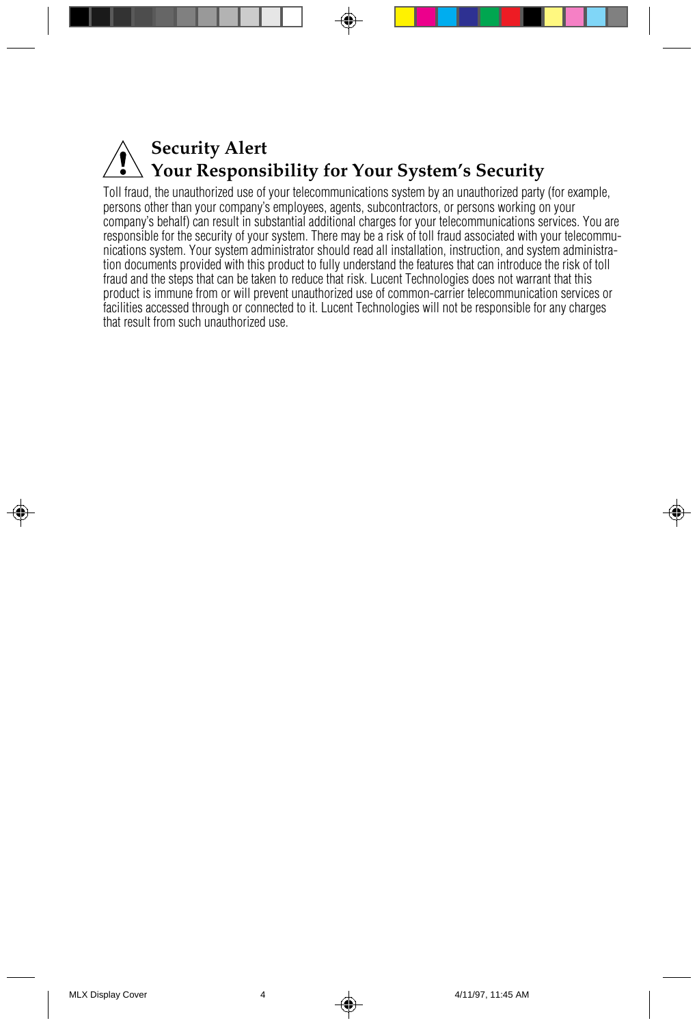## **Security Alert Your Responsibility for Your System's Security**

Toll fraud, the unauthorized use of your telecommunications system by an unauthorized party (for example, persons other than your company's employees, agents, subcontractors, or persons working on your company's behalf) can result in substantial additional charges for your telecommunications services. You are responsible for the security of your system. There may be a risk of toll fraud associated with your telecommunications system. Your system administrator should read all installation, instruction, and system administration documents provided with this product to fully understand the features that can introduce the risk of toll fraud and the steps that can be taken to reduce that risk. Lucent Technologies does not warrant that this product is immune from or will prevent unauthorized use of common-carrier telecommunication services or facilities accessed through or connected to it. Lucent Technologies will not be responsible for any charges that result from such unauthorized use.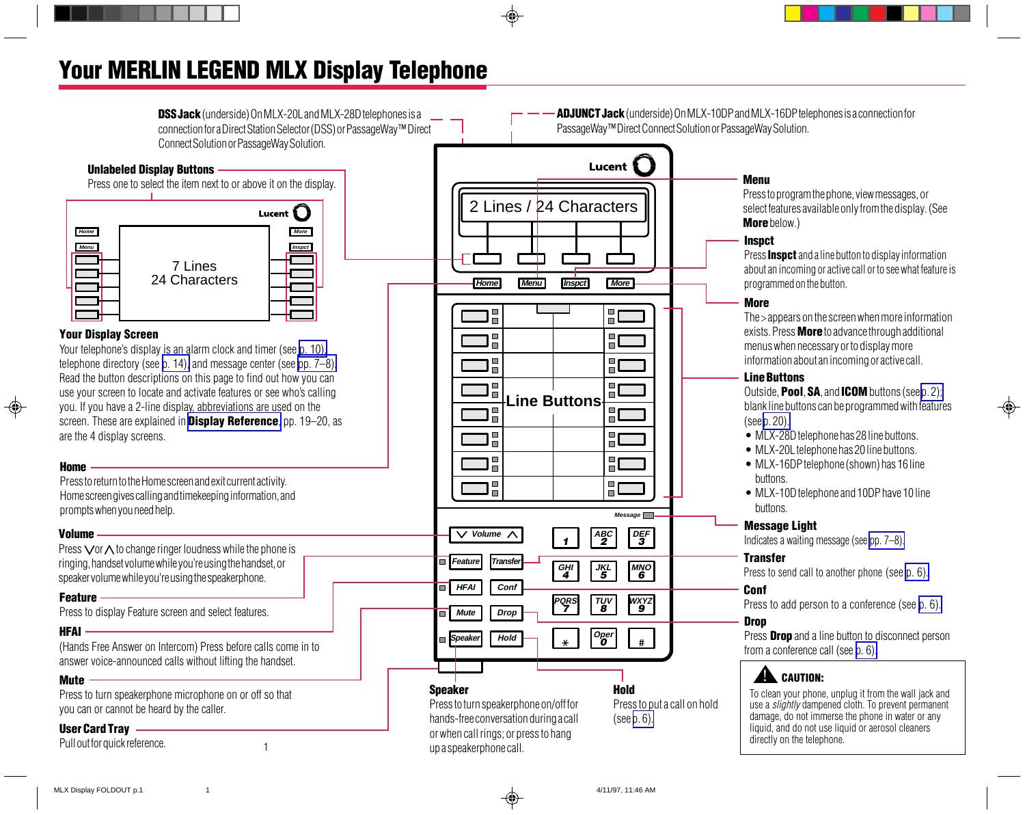## <span id="page-2-3"></span><span id="page-2-1"></span><span id="page-2-0"></span>Your MERLIN LEGEND MLX Display Telephone

<span id="page-2-2"></span>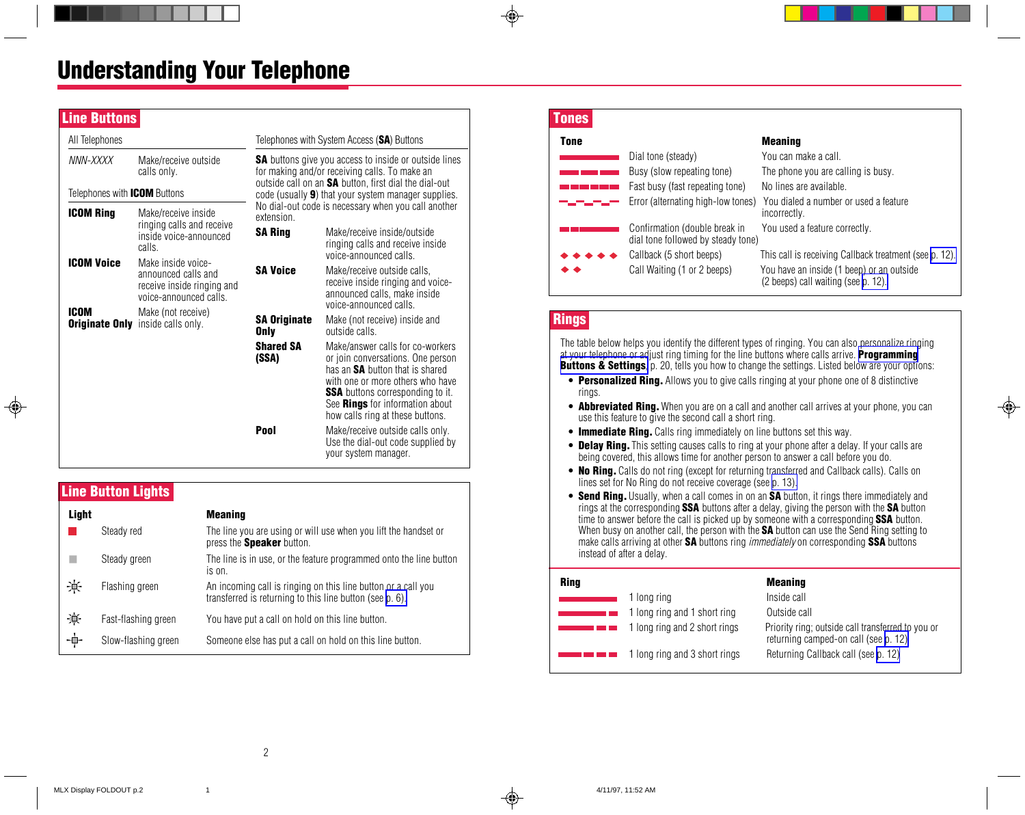## Understanding Your Telephone

| <b>Line Buttons</b>                 |                                                                                                   |                                                                                                                                                                        |                                                                                                                                                                                                                                                                              |
|-------------------------------------|---------------------------------------------------------------------------------------------------|------------------------------------------------------------------------------------------------------------------------------------------------------------------------|------------------------------------------------------------------------------------------------------------------------------------------------------------------------------------------------------------------------------------------------------------------------------|
| All Telephones                      |                                                                                                   |                                                                                                                                                                        | Telephones with System Access (SA) Buttons                                                                                                                                                                                                                                   |
| NNN-XXXX                            | Make/receive outside<br>calls only.                                                               | <b>SA</b> buttons give you access to inside or outside lines<br>for making and/or receiving calls. To make an<br>outside call on an SA button, first dial the dial-out |                                                                                                                                                                                                                                                                              |
| Telephones with <b>ICOM</b> Buttons |                                                                                                   |                                                                                                                                                                        | code (usually <b>9</b> ) that your system manager supplies.                                                                                                                                                                                                                  |
| <b>ICOM Ring</b>                    | Make/receive inside<br>ringing calls and receive<br>inside voice-announced<br>calls.              | extension.<br><b>SA Ring</b>                                                                                                                                           | No dial-out code is necessary when you call another<br>Make/receive inside/outside<br>ringing calls and receive inside<br>voice-announced calls.                                                                                                                             |
| <b>ICOM Voice</b>                   | Make inside voice-<br>announced calls and<br>receive inside ringing and<br>voice-announced calls. | <b>SA Voice</b>                                                                                                                                                        | Make/receive outside calls,<br>receive inside ringing and voice-<br>announced calls, make inside<br>voice-announced calls.                                                                                                                                                   |
| <b>ICOM</b>                         | Make (not receive)<br><b>Originate Only</b> inside calls only.                                    | <b>SA Originate</b><br><b>Only</b>                                                                                                                                     | Make (not receive) inside and<br>outside calls.                                                                                                                                                                                                                              |
|                                     |                                                                                                   | <b>Shared SA</b><br>(SSA)                                                                                                                                              | Make/answer calls for co-workers<br>or join conversations. One person<br>has an <b>SA</b> button that is shared<br>with one or more others who have<br><b>SSA</b> buttons corresponding to it.<br>See <b>Rings</b> for information about<br>how calls ring at these buttons. |
|                                     |                                                                                                   | Pool                                                                                                                                                                   | Make/receive outside calls only.<br>Use the dial-out code supplied by<br>your system manager.                                                                                                                                                                                |

## Line Button Lights

| Light |                     | <b>Meaning</b>                                                                                                            |
|-------|---------------------|---------------------------------------------------------------------------------------------------------------------------|
|       | Steady red          | The line you are using or will use when you lift the handset or<br>press the <b>Speaker</b> button.                       |
|       | Steady green        | The line is in use, or the feature programmed onto the line button<br>is on.                                              |
| 美     | Flashing green      | An incoming call is ringing on this line button or a call you<br>transferred is returning to this line button (see p. 6). |
| 賽     | Fast-flashing green | You have put a call on hold on this line button.                                                                          |
| -∲-   | Slow-flashing green | Someone else has put a call on hold on this line button.                                                                  |

### <span id="page-3-2"></span><span id="page-3-1"></span><span id="page-3-0"></span> Tones Tone Meaning Dial tone (steady) You can make a call. Busy (slow repeating tone) The phone you are calling is busy. Fast busy (fast repeating tone) No lines are available. Error (alternating high-low tones) You dialed a number or used a feature incorrectly. Confirmation (double break in You used a feature correctly. dial tone followed by steady tone) Callback (5 short beeps) This call is receiving Callback treatment (see [p. 12\).](#page-13-1) Call Waiting (1 or 2 beeps) You have an inside (1 beep) or an outside (2 beeps) call waiting (see [p. 12\).](#page-13-1)

<span id="page-3-4"></span><span id="page-3-3"></span>The table below helps you identify the different types of ringing. You can also personalize ringing at your telephone or adjust ring timing for the line buttons where calls arrive. **[Programming](#page-21-4) [Buttons & Settings](#page-21-4)**, p. 20, tells you how to change the settings. Listed below are your options:

- Personalized Ring. Allows you to give calls ringing at your phone one of 8 distinctive rings.
- **Abbreviated Ring.** When you are on a call and another call arrives at your phone, you can use this feature to give the second call a short ring.
- Immediate Ring. Calls ring immediately on line buttons set this way.
- Delay Ring. This setting causes calls to ring at your phone after a delay. If your calls are being covered, this allows time for another person to answer a call before you do.
- **No Ring.** Calls do not ring (except for returning transferred and Callback calls). Calls on lines set for No Ring do not receive coverage (see [p. 13\).](#page-14-1)
- Send Ring. Usually, when a call comes in on an SA button, it rings there immediately and rings at the corresponding SSA buttons after a delay, giving the person with the SA button time to answer before the call is picked up by someone with a corresponding **SSA** button. When busy on another call, the person with the **SA** button can use the Send Ring setting to make calls arriving at other **SA** buttons ring *immediately* on corresponding **SSA** buttons instead of after a delay.

| Ring |                               | <b>Meaning</b>                                                                            |
|------|-------------------------------|-------------------------------------------------------------------------------------------|
|      | 1 long ring                   | Inside call                                                                               |
|      | 1 long ring and 1 short ring  | Outside call                                                                              |
|      | 1 long ring and 2 short rings | Priority ring; outside call transferred to you or<br>returning camped-on call (see p. 12) |
|      | 1 long ring and 3 short rings | Returning Callback call (see p. 12)                                                       |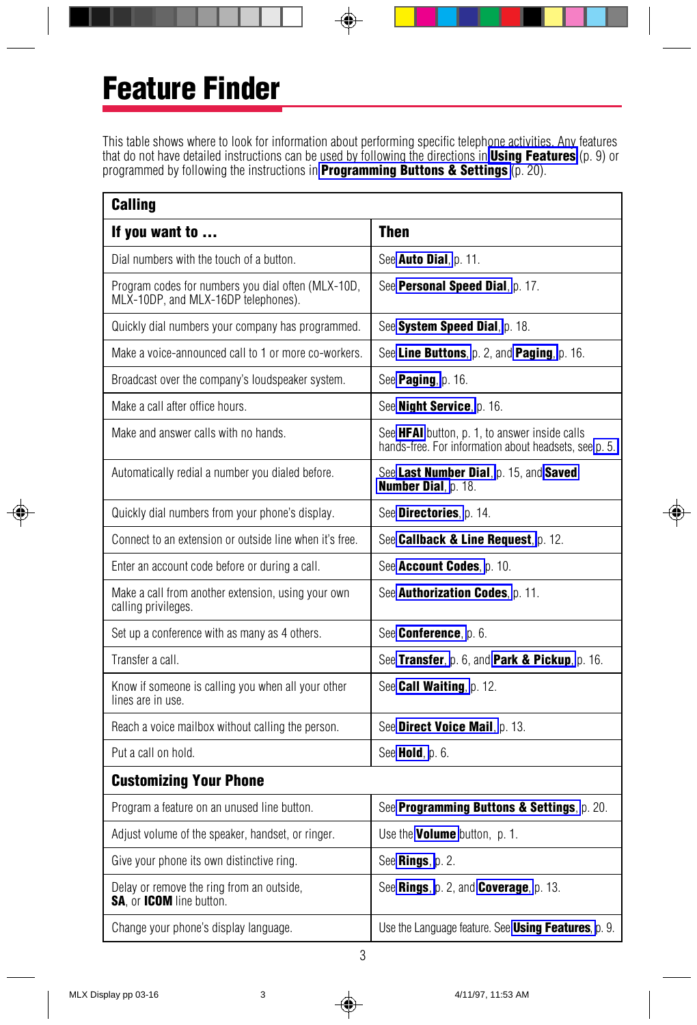# <span id="page-4-0"></span>Feature Finder

This table shows where to look for information about performing specific telephone activities. Any features that do not have detailed instructions can be used by following the directions in [Using Features](#page-10-1) (p. 9) or programmed by following the instructions in **Programming Buttons & Settings** (p. 20).

| Calling                                                                                   |                                                                                                        |
|-------------------------------------------------------------------------------------------|--------------------------------------------------------------------------------------------------------|
| If you want to                                                                            | <b>Then</b>                                                                                            |
| Dial numbers with the touch of a button.                                                  | See Auto Dial, p. 11.                                                                                  |
| Program codes for numbers you dial often (MLX-10D,<br>MLX-10DP, and MLX-16DP telephones). | See <b>Personal Speed Dial</b> , p. 17.                                                                |
| Quickly dial numbers your company has programmed.                                         | See System Speed Dial, p. 18.                                                                          |
| Make a voice-announced call to 1 or more co-workers.                                      | See <b>Line Buttons</b> , p. 2, and <b>Paging</b> , p. 16.                                             |
| Broadcast over the company's loudspeaker system.                                          | See Paging, p. 16.                                                                                     |
| Make a call after office hours.                                                           | See Night Service, p. 16.                                                                              |
| Make and answer calls with no hands.                                                      | See HFAI button, p. 1, to answer inside calls<br>hands-free. For information about headsets, see p. 5. |
| Automatically redial a number you dialed before.                                          | See Last Number Dial, p. 15, and Saved<br>Number Dial, p. 18.                                          |
| Quickly dial numbers from your phone's display.                                           | See Directories, p. 14.                                                                                |
| Connect to an extension or outside line when it's free.                                   | See Callback & Line Request p. 12.                                                                     |
| Enter an account code before or during a call.                                            | See Account Codes, p. 10.                                                                              |
| Make a call from another extension, using your own<br>calling privileges.                 | See Authorization Codes, p. 11.                                                                        |
| Set up a conference with as many as 4 others.                                             | See <b>Conference</b> , p. 6.                                                                          |
| Transfer a call.                                                                          | See Transfer, p. 6, and Park & Pickup, p. 16.                                                          |
| Know if someone is calling you when all your other<br>lines are in use.                   | See <b>Call Waiting</b> , p. 12.                                                                       |
| Reach a voice mailbox without calling the person.                                         | See Direct Voice Mail, p. 13.                                                                          |
| Put a call on hold.                                                                       | See <b>Hold</b> , p. 6.                                                                                |
| <b>Customizing Your Phone</b>                                                             |                                                                                                        |
| Program a feature on an unused line button.                                               | See Programming Buttons & Settings, p. 20.                                                             |
| Adjust volume of the speaker, handset, or ringer.                                         | Use the <b>Volume</b> button, p. 1.                                                                    |
| Give your phone its own distinctive ring.                                                 | See Rings, p. 2.                                                                                       |
| Delay or remove the ring from an outside,<br><b>SA.</b> or <b>ICOM</b> line button.       | See Rings, p. 2, and Coverage, p. 13.                                                                  |
| Change your phone's display language.                                                     | Use the Language feature. See Using Features, p. 9.                                                    |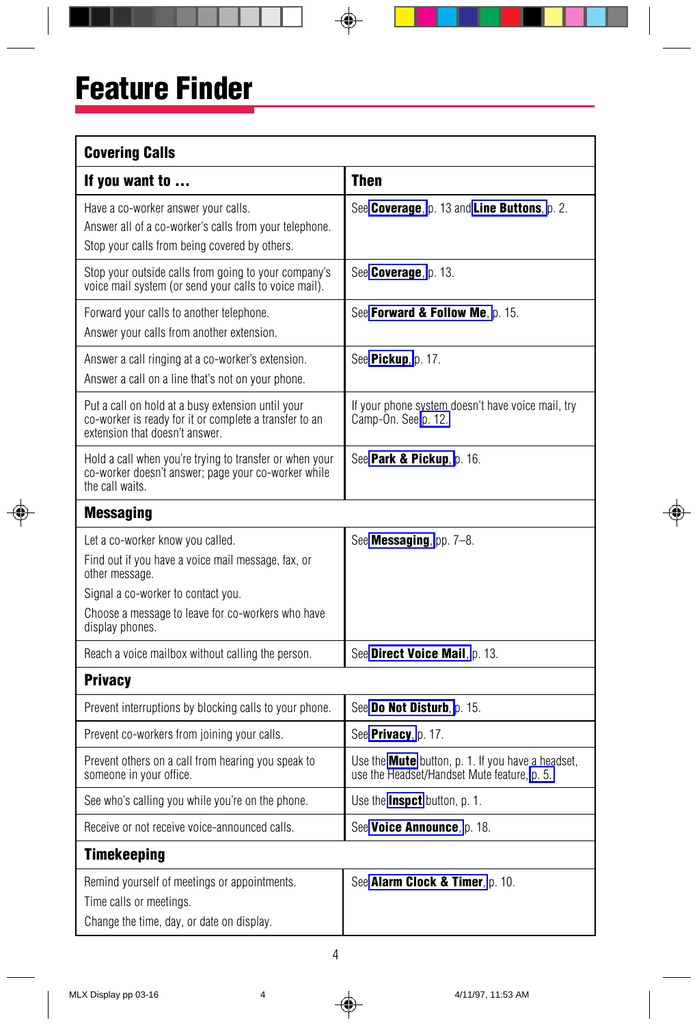| <b>Covering Calls</b>                                                                                                                                                                                                  |                                                                                                         |  |  |  |
|------------------------------------------------------------------------------------------------------------------------------------------------------------------------------------------------------------------------|---------------------------------------------------------------------------------------------------------|--|--|--|
| If you want to                                                                                                                                                                                                         | <b>Then</b>                                                                                             |  |  |  |
| Have a co-worker answer your calls.<br>Answer all of a co-worker's calls from your telephone.<br>Stop your calls from being covered by others.                                                                         | See Coverage, p. 13 and Line Buttons, p. 2.                                                             |  |  |  |
| Stop your outside calls from going to your company's<br>voice mail system (or send your calls to voice mail).                                                                                                          | See <b>Coverage</b> , p. 13.                                                                            |  |  |  |
| Forward your calls to another telephone.<br>Answer your calls from another extension.                                                                                                                                  | See Forward & Follow Me, p. 15.                                                                         |  |  |  |
| Answer a call ringing at a co-worker's extension.<br>Answer a call on a line that's not on your phone.                                                                                                                 | See Pickup, p. 17.                                                                                      |  |  |  |
| Put a call on hold at a busy extension until your<br>co-worker is ready for it or complete a transfer to an<br>extension that doesn't answer.                                                                          | If your phone system doesn't have voice mail, try<br>Camp-On. See p. 12.                                |  |  |  |
| Hold a call when you're trying to transfer or when your<br>co-worker doesn't answer; page your co-worker while<br>the call waits.                                                                                      | See Park & Pickup, p. 16.                                                                               |  |  |  |
| <b>Messaging</b>                                                                                                                                                                                                       |                                                                                                         |  |  |  |
| Let a co-worker know you called.<br>Find out if you have a voice mail message, fax, or<br>other message.<br>Signal a co-worker to contact you.<br>Choose a message to leave for co-workers who have<br>display phones. | See <b>Messaging</b> , pp. $7-8$ .                                                                      |  |  |  |
| Reach a voice mailbox without calling the person.                                                                                                                                                                      | See Direct Voice Mail, p. 13.                                                                           |  |  |  |
| <b>Privacy</b>                                                                                                                                                                                                         |                                                                                                         |  |  |  |
| Prevent interruptions by blocking calls to your phone.                                                                                                                                                                 | See Do Not Disturb, p. 15.                                                                              |  |  |  |
| Prevent co-workers from joining your calls.                                                                                                                                                                            | See <b>Privacy</b> , p. 17.                                                                             |  |  |  |
| Prevent others on a call from hearing you speak to<br>someone in your office.                                                                                                                                          | Use the <b>Mute</b> button, p. 1. If you have a headset,<br>use the Headset/Handset Mute feature, p. 5. |  |  |  |
| See who's calling you while you're on the phone.                                                                                                                                                                       | Use the <b>Inspct</b> button, p. 1.                                                                     |  |  |  |
| Receive or not receive voice-announced calls.                                                                                                                                                                          | See Voice Announce, p. 18.                                                                              |  |  |  |
| <b>Timekeeping</b>                                                                                                                                                                                                     |                                                                                                         |  |  |  |
| Remind yourself of meetings or appointments.<br>Time calls or meetings.<br>Change the time, day, or date on display.                                                                                                   | See Alarm Clock & Timer, p. 10.                                                                         |  |  |  |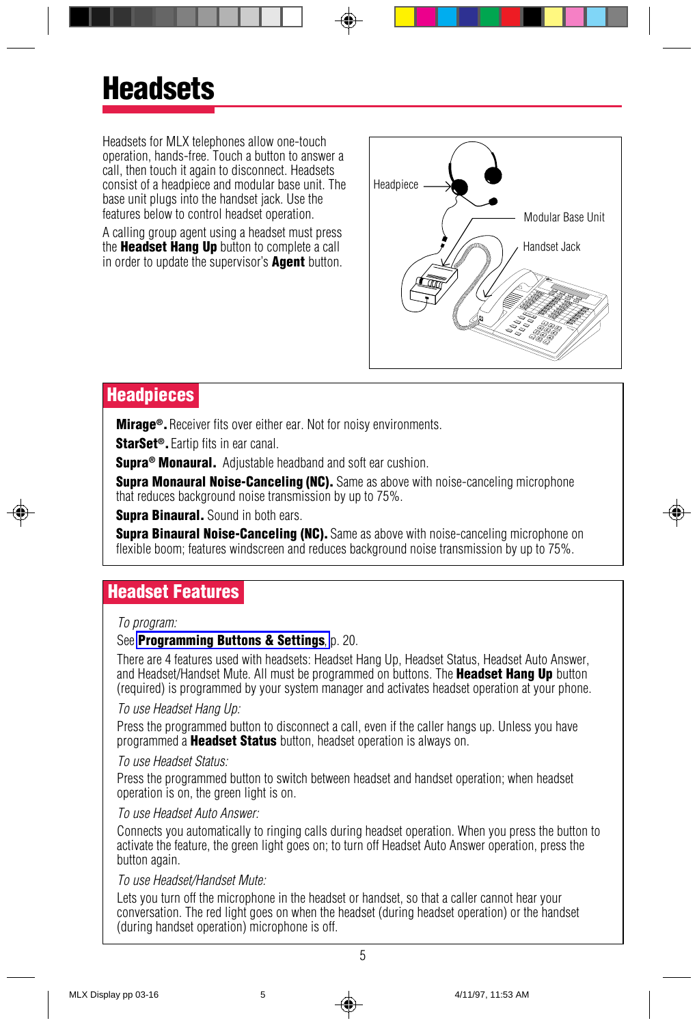<span id="page-6-1"></span><span id="page-6-0"></span>Headsets for MLX telephones allow one-touch operation, hands-free. Touch a button to answer a call, then touch it again to disconnect. Headsets consist of a headpiece and modular base unit. The base unit plugs into the handset jack. Use the features below to control headset operation.

A calling group agent using a headset must press the Headset Hang Up button to complete a call in order to update the supervisor's **Agent** button.



## **Headpieces**

**Mirage<sup>®</sup>.** Receiver fits over either ear. Not for noisy environments.

StarSet<sup>®</sup>. Eartip fits in ear canal.

**Supra<sup>®</sup> Monaural.** Adjustable headband and soft ear cushion.

**Supra Monaural Noise-Canceling (NC).** Same as above with noise-canceling microphone that reduces background noise transmission by up to 75%.

<span id="page-6-2"></span>**Supra Binaural.** Sound in both ears.

**Supra Binaural Noise-Canceling (NC).** Same as above with noise-canceling microphone on flexible boom; features windscreen and reduces background noise transmission by up to 75%.

## Headset Features

#### To program:

#### See **[Programming Buttons & Settings](#page-21-1)**, p. 20.

There are 4 features used with headsets: Headset Hang Up, Headset Status, Headset Auto Answer, and Headset/Handset Mute. All must be programmed on buttons. The **Headset Hang Up** button (required) is programmed by your system manager and activates headset operation at your phone.

#### To use Headset Hang Up:

Press the programmed button to disconnect a call, even if the caller hangs up. Unless you have programmed a **Headset Status** button, headset operation is always on.

#### To use Headset Status:

Press the programmed button to switch between headset and handset operation; when headset operation is on, the green light is on.

#### To use Headset Auto Answer:

Connects you automatically to ringing calls during headset operation. When you press the button to activate the feature, the green light goes on; to turn off Headset Auto Answer operation, press the button again.

#### To use Headset/Handset Mute:

Lets you turn off the microphone in the headset or handset, so that a caller cannot hear your conversation. The red light goes on when the headset (during headset operation) or the handset (during handset operation) microphone is off.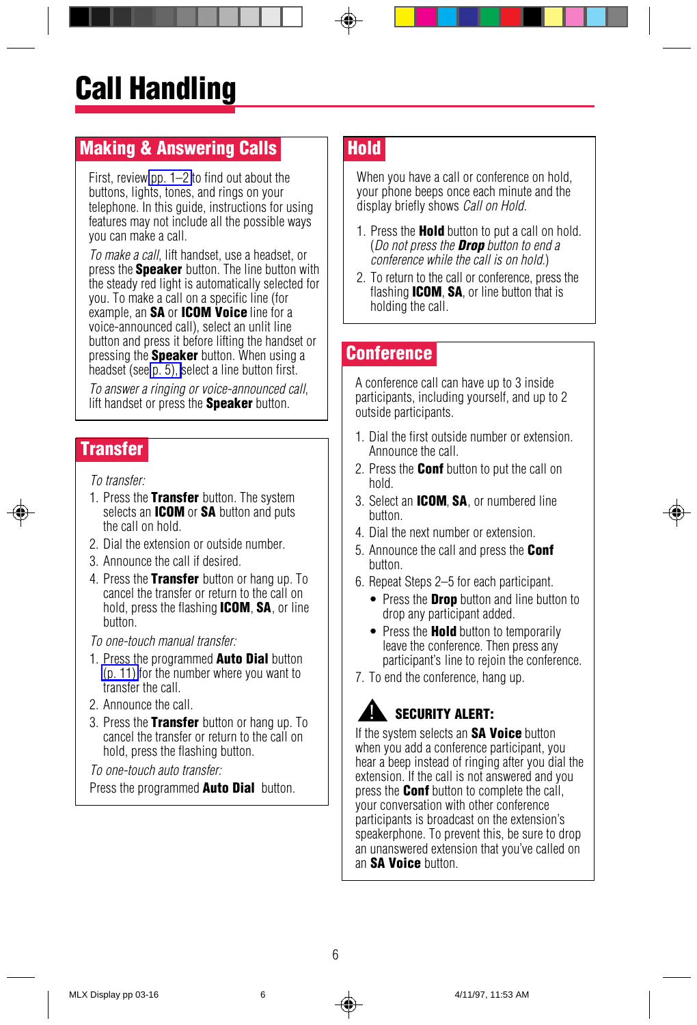## <span id="page-7-6"></span><span id="page-7-2"></span><span id="page-7-0"></span>Making & Answering Calls

First, review [pp. 1–2](#page-2-0) to find out about the buttons, lights, tones, and rings on your telephone. In this guide, instructions for using features may not include all the possible ways you can make a call.

To make a call, lift handset, use a headset, or press the **Speaker** button. The line button with the steady red light is automatically selected for you. To make a call on a specific line (for example, an SA or ICOM Voice line for a voice-announced call), select an unlit line button and press it before lifting the handset or pressing the **Speaker** button. When using a headset (see [p. 5\),](#page-6-1) select a line button first.

<span id="page-7-4"></span>To answer a ringing or voice-announced call, lift handset or press the **Speaker** button.

## <span id="page-7-5"></span>**Transfer**

To transfer:

- 1. Press the Transfer button. The system selects an **ICOM** or SA button and puts the call on hold.
- 2. Dial the extension or outside number.
- 3. Announce the call if desired.
- 4. Press the Transfer button or hang up. To cancel the transfer or return to the call on hold, press the flashing **ICOM, SA**, or line button.

To one-touch manual transfer:

- 1. Press the programmed **Auto Dial** button [\(p. 11\)](#page-12-1) for the number where you want to transfer the call.
- 2. Announce the call.
- 3. Press the Transfer button or hang up. To cancel the transfer or return to the call on hold, press the flashing button.

To one-touch auto transfer:

Press the programmed **Auto Dial** button.

## **Hold**

When you have a call or conference on hold. your phone beeps once each minute and the display briefly shows *Call on Hold*.

- 1. Press the **Hold** button to put a call on hold. (Do not press the **Drop** button to end a conference while the call is on hold.)
- 2. To return to the call or conference, press the flashing **ICOM, SA**, or line button that is holding the call.

## **Conference**

A conference call can have up to 3 inside participants, including yourself, and up to 2 outside participants.

- 1. Dial the first outside number or extension. Announce the call.
- 2. Press the **Conf** button to put the call on hold.
- 3. Select an **ICOM, SA**, or numbered line button.
- 4. Dial the next number or extension.
- 5. Announce the call and press the **Conf** button.
- 6. Repeat Steps 2–5 for each participant.
	- Press the **Drop** button and line button to drop any participant added.
	- Press the **Hold** button to temporarily leave the conference. Then press any participant's line to rejoin the conference.
- 7. To end the conference, hang up.

#### SECURITY ALERT: !

<span id="page-7-3"></span><span id="page-7-1"></span>If the system selects an **SA Voice** button when you add a conference participant, you hear a beep instead of ringing after you dial the extension. If the call is not answered and you press the **Conf** button to complete the call. your conversation with other conference participants is broadcast on the extension's speakerphone. To prevent this, be sure to drop an unanswered extension that you've called on an SA Voice button.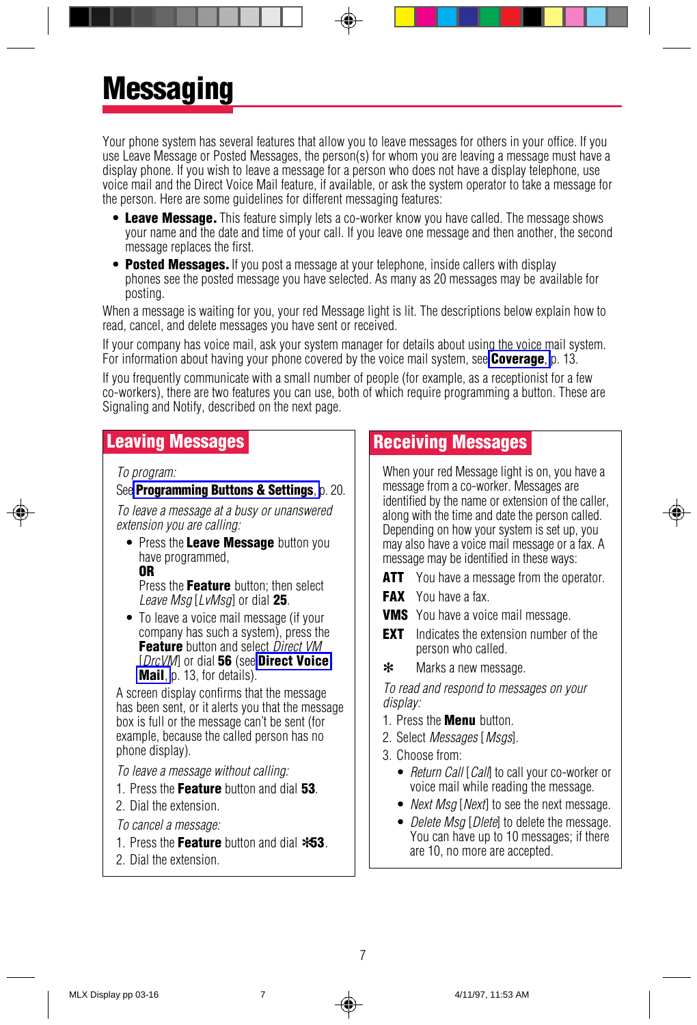# <span id="page-8-3"></span><span id="page-8-0"></span>**Messaging**

Your phone system has several features that allow you to leave messages for others in your office. If you use Leave Message or Posted Messages, the person(s) for whom you are leaving a message must have a display phone. If you wish to leave a message for a person who does not have a display telephone, use voice mail and the Direct Voice Mail feature, if available, or ask the system operator to take a message for the person. Here are some guidelines for different messaging features:

- Leave Message. This feature simply lets a co-worker know you have called. The message shows your name and the date and time of your call. If you leave one message and then another, the second message replaces the first.
- Posted Messages. If you post a message at your telephone, inside callers with display phones see the posted message you have selected. As many as 20 messages may be available for posting.

When a message is waiting for you, your red Message light is lit. The descriptions below explain how to read, cancel, and delete messages you have sent or received.

If your company has voice mail, ask your system manager for details about using the voice mail system. For information about having your phone covered by the voice mail system, see **[Coverage](#page-14-2)**, p. 13.

<span id="page-8-1"></span>If you frequently communicate with a small number of people (for example, as a receptionist for a few co-workers), there are two features you can use, both of which require programming a button. These are Signaling and Notify, described on the next page.

### Leaving Messages

To program:

See **[Programming Buttons & Settings](#page-22-1)**, p. 20.

To leave a message at a busy or unanswered extension you are calling:

• Press the Leave Message button you have programmed,

OR

Press the Feature button: then select Leave Msg  $[LvMsa]$  or dial 25.

• To leave a voice mail message (if your company has such a system), press the Feature button and select Direct VM [DrcVM] or dial 56 (see [Direct Voice](#page-14-2) [Mail](#page-14-2), p. 13, for details).

A screen display confirms that the message has been sent, or it alerts you that the message box is full or the message can't be sent (for example, because the called person has no phone display).

To leave a message without calling:

- 1. Press the Feature button and dial 53.
- 2. Dial the extension.

To cancel a message:

- 1. Press the Feature button and dial  $*53$ .
- <span id="page-8-4"></span><span id="page-8-2"></span>2. Dial the extension.

## Receiving Messages

When your red Message light is on, you have a message from a co-worker. Messages are identified by the name or extension of the caller, along with the time and date the person called. Depending on how your system is set up, you may also have a voice mail message or a fax. A message may be identified in these ways:

- **ATT** You have a message from the operator.
- **FAX** You have a fax.
- **VMS** You have a voice mail message.
- **EXT** Indicates the extension number of the person who called.
- ✻ Marks a new message.

To read and respond to messages on your display:

- 1. Press the Menu button.
- 2. Select Messages [Msgs].
- 3. Choose from:
	- Return Call [Call] to call your co-worker or voice mail while reading the message.
	- *Next Msg [Next]* to see the next message.
	- Delete Msa [Dlete] to delete the message. You can have up to 10 messages; if there are 10, no more are accepted.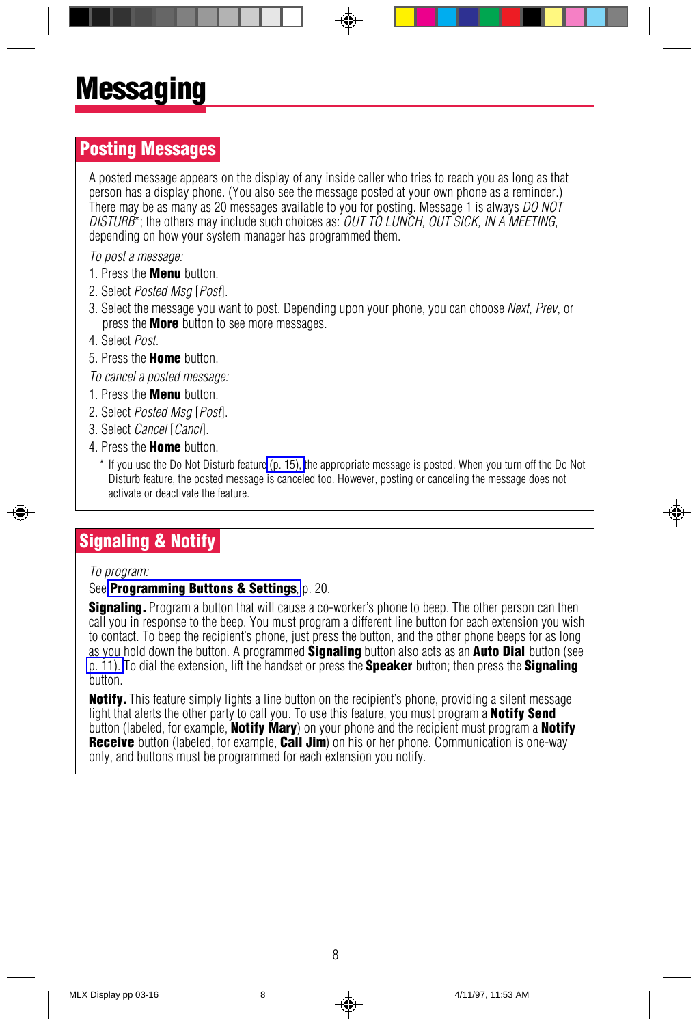### <span id="page-9-0"></span>Posting Messages

A posted message appears on the display of any inside caller who tries to reach you as long as that person has a display phone. (You also see the message posted at your own phone as a reminder.) There may be as many as 20 messages available to you for posting. Message 1 is always DO NOT  $DISTURB^*$ ; the others may include such choices as:  $OUTTO LUNCH$ ,  $OUT$  SICK, IN A MEETING, depending on how your system manager has programmed them.

To post a message:

- 1. Press the **Menu** button.
- 2. Select Posted Msa [Post].
- 3. Select the message you want to post. Depending upon your phone, you can choose Next, Prev, or press the **More** button to see more messages.
- 4. Select Post.
- 5. Press the **Home** button.

To cancel a posted message:

- 1. Press the Menu button.
- 2. Select Posted Msa [Post].
- 3. Select Cancel [Canc/].
- 4. Press the **Home** button.
	- \* If you use the Do Not Disturb feature [\(p. 15\),](#page-16-1) the appropriate message is posted. When you turn off the Do Not Disturb feature, the posted message is canceled too. However, posting or canceling the message does not activate or deactivate the feature.

## Signaling & Notify

#### To program:

#### See **[Programming Buttons & Settings](#page-22-1)**, p. 20.

**Signaling.** Program a button that will cause a co-worker's phone to beep. The other person can then call you in response to the beep. You must program a different line button for each extension you wish to contact. To beep the recipient's phone, just press the button, and the other phone beeps for as long as you hold down the button. A programmed **Signaling** button also acts as an **Auto Dial** button (see [p. 11\).](#page-12-1) To dial the extension, lift the handset or press the **Speaker** button; then press the **Signaling** button.

Notify. This feature simply lights a line button on the recipient's phone, providing a silent message light that alerts the other party to call you. To use this feature, you must program a **Notify Send** button (labeled, for example, **Notify Mary**) on your phone and the recipient must program a **Notify** Receive button (labeled, for example, **Call Jim**) on his or her phone. Communication is one-way only, and buttons must be programmed for each extension you notify.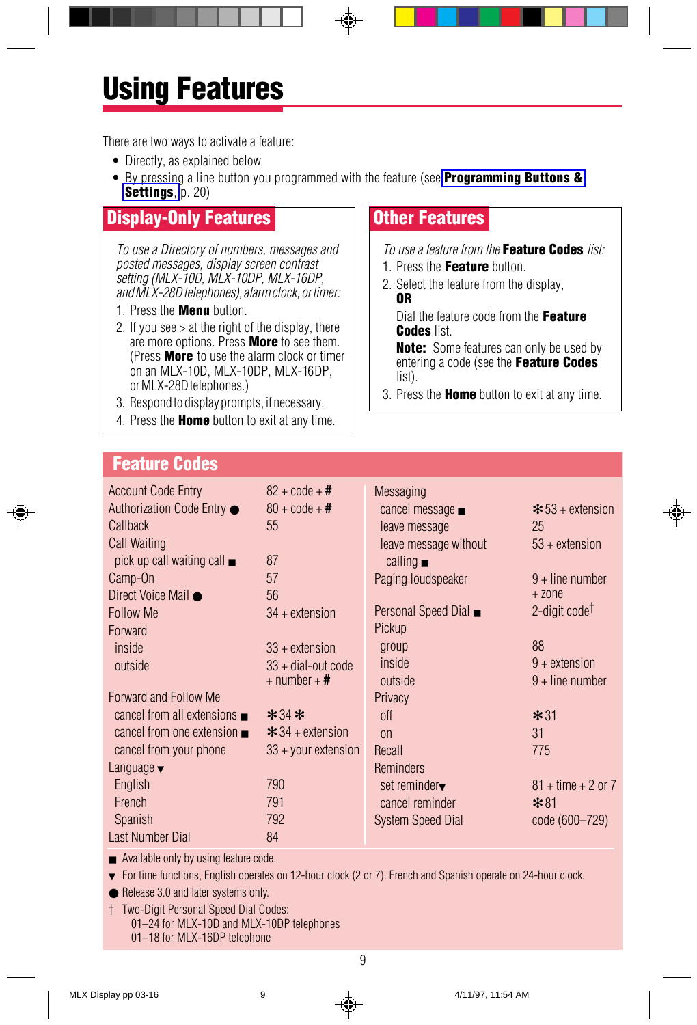## <span id="page-10-1"></span><span id="page-10-0"></span>Using Features

There are two ways to activate a feature:

- Directly, as explained below
- By pressing a line button you programmed with the feature (see **[Programming Buttons &](#page-22-1)** [Settings](#page-22-1), p. 20)

## Display-Only Features

To use a Directory of numbers, messages and posted messages, display screen contrast setting (MLX-10D, MLX-10DP, MLX-16DP, and MLX-28D telephones), alarm clock, or timer:

- 1. Press the **Menu** button.
- 2. If you see  $>$  at the right of the display, there are more options. Press More to see them. (Press **More** to use the alarm clock or timer on an MLX-10D, MLX-10DP, MLX-16DP, or MLX-28D telephones.)
- 3. Respond to display prompts, if necessary.
- 4. Press the **Home** button to exit at any time.

## Other Features

To use a feature from the **Feature Codes** list:

- 1. Press the Feature button.
- 2. Select the feature from the display, OR

Dial the feature code from the Feature Codes list.

**Note:** Some features can only be used by entering a code (see the Feature Codes list).

3. Press the **Home** button to exit at any time.

### Feature Codes

| <b>Account Code Entry</b>                 | $82 + \text{code} + \#$ | <b>Messaging</b>         |                           |
|-------------------------------------------|-------------------------|--------------------------|---------------------------|
| Authorization Code Entry ●                | $80 + \text{code} + \#$ | cancel message ■         | $\star$ 53 + extension    |
| Callback                                  | 55                      | leave message            | 25                        |
| Call Waiting                              |                         | leave message without    | $53 +$ extension          |
| pick up call waiting call $\blacksquare$  | 87                      | calling $\blacksquare$   |                           |
| Camp-On                                   | 57                      | Paging loudspeaker       | $9 +$ line number         |
| Direct Voice Mail ●                       | 56                      |                          | $+$ 20 $ne$               |
| <b>Follow Me</b>                          | $34 +$ extension        | Personal Speed Dial ■    | 2-digit code <sup>†</sup> |
| Forward                                   |                         | Pickup                   |                           |
| inside                                    | $33 +$ extension        | group                    | 88                        |
| outside                                   | $33 +$ dial-out code    | inside                   | $9 +$ extension           |
|                                           | $+$ number $+$ #        | outside                  | $9 +$ line number         |
| Forward and Follow Me                     |                         | Privacy                  |                           |
| cancel from all extensions $\blacksquare$ | $*34*$                  | off                      | $*31$                     |
| cancel from one extension $\blacksquare$  | $* 34 +$ extension      | $_{0n}$                  | 31                        |
| cancel from your phone                    | $33 +$ your extension   | Recall                   | 775                       |
| Language $\blacktriangledown$             |                         | <b>Reminders</b>         |                           |
| English                                   | 790                     | set reminder             | $81 +$ time + 2 or 7      |
| French                                    | 791                     | cancel reminder          | $*81$                     |
| Spanish                                   | 792                     | <b>System Speed Dial</b> | code (600–729)            |
| Last Number Dial                          | 84                      |                          |                           |

■ Available only by using feature code.

▼ For time functions, English operates on 12-hour clock (2 or 7). French and Spanish operate on 24-hour clock.

● Release 3.0 and later systems only.

† Two-Digit Personal Speed Dial Codes:

01–24 for MLX-10D and MLX-10DP telephones

<span id="page-10-2"></span>01–18 for MLX-16DP telephone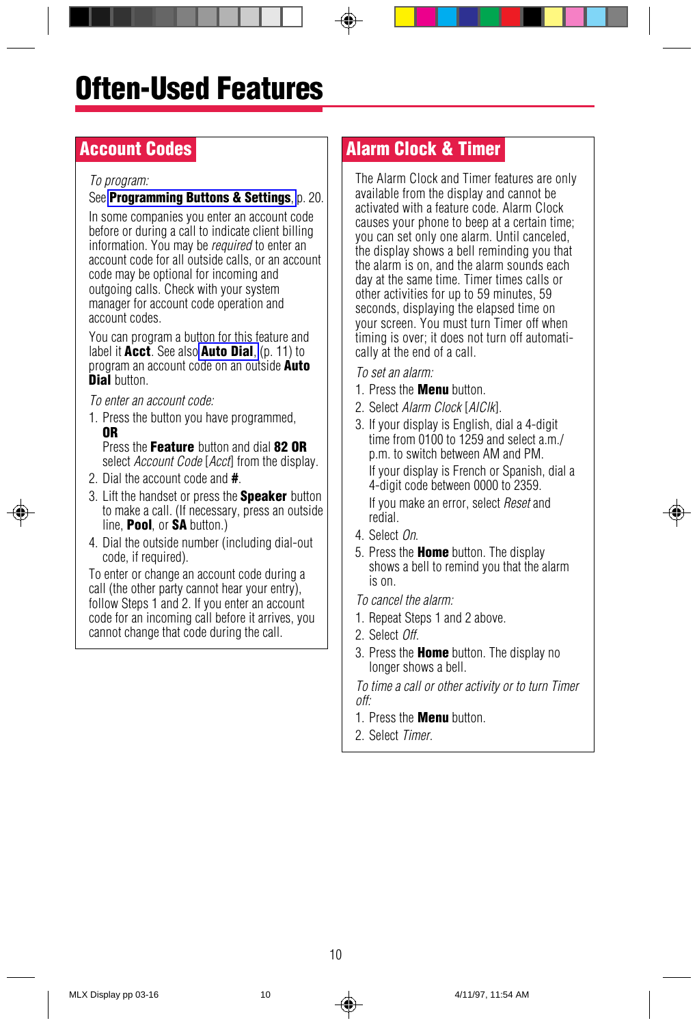## <span id="page-11-3"></span><span id="page-11-1"></span><span id="page-11-0"></span>Account Codes

#### To program:

#### See **[Programming Buttons & Settings](#page-22-1)**, p. 20.

In some companies you enter an account code before or during a call to indicate client billing information. You may be *required* to enter an account code for all outside calls, or an account code may be optional for incoming and outgoing calls. Check with your system manager for account code operation and account codes.

You can program a button for this feature and label it Acct. See also [Auto Dial](#page-12-1), (p. 11) to program an account code on an outside **Auto** Dial button

To enter an account code:

1. Press the button you have programmed, OR

Press the Feature button and dial 82 OR select *Account Code* [*Accf*] from the display.

- 2. Dial the account code and #.
- 3. Lift the handset or press the **Speaker** button to make a call. (If necessary, press an outside line, **Pool**, or **SA** button.)
- 4. Dial the outside number (including dial-out code, if required).

To enter or change an account code during a call (the other party cannot hear your entry), follow Steps 1 and 2. If you enter an account code for an incoming call before it arrives, you cannot change that code during the call.

## Alarm Clock & Timer

The Alarm Clock and Timer features are only available from the display and cannot be activated with a feature code. Alarm Clock causes your phone to beep at a certain time; you can set only one alarm. Until canceled, the display shows a bell reminding you that the alarm is on, and the alarm sounds each day at the same time. Timer times calls or other activities for up to 59 minutes, 59 seconds, displaying the elapsed time on your screen. You must turn Timer off when timing is over; it does not turn off automatically at the end of a call.

To set an alarm:

- 1. Press the **Menu** button.
- 2. Select Alarm Clock [AlClk].
- 3. If your display is English, dial a 4-digit time from 0100 to 1259 and select a.m./ p.m. to switch between AM and PM. If your display is French or Spanish, dial a 4-digit code between 0000 to 2359. If you make an error, select Reset and redial.
- 4. Select On.
- 5. Press the **Home** button. The display shows a bell to remind you that the alarm is on.

To cancel the alarm:

- 1. Repeat Steps 1 and 2 above.
- 2. Select Off.
- 3. Press the Home button. The display no longer shows a bell.

To time a call or other activity or to turn Timer off:

- 1. Press the Menu button.
- <span id="page-11-4"></span><span id="page-11-2"></span>2. Select Timer.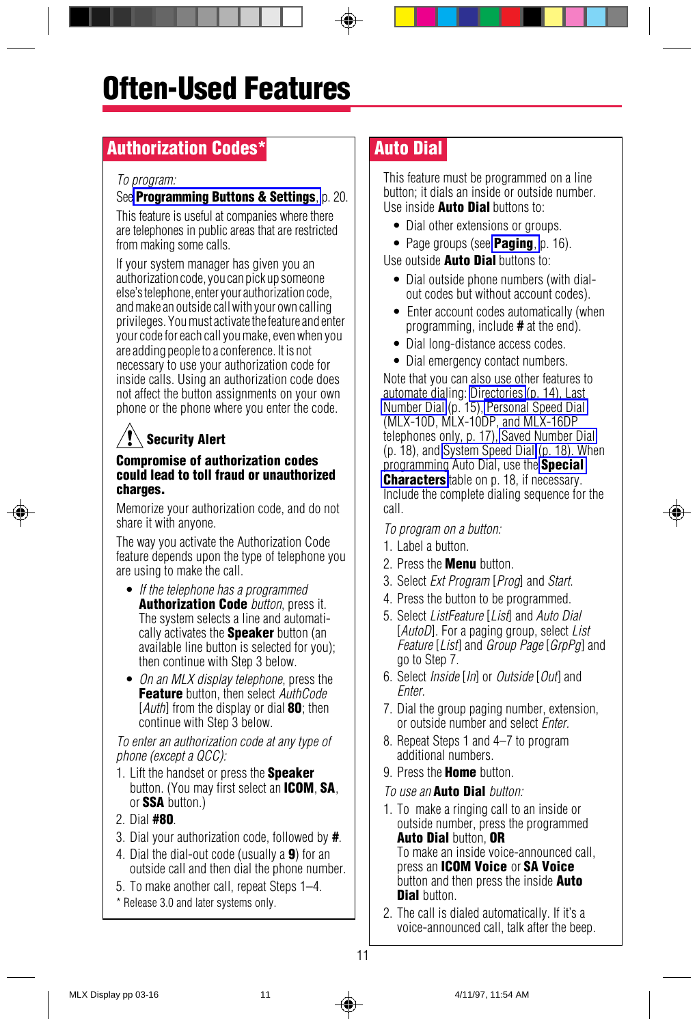## <span id="page-12-1"></span><span id="page-12-0"></span>Authorization Codes\*

#### To program:

#### See **[Programming Buttons & Settings](#page-22-1)**, p. 20.

This feature is useful at companies where there are telephones in public areas that are restricted from making some calls.

If your system manager has given you an authorization code, you can pick up someone else's telephone, enter your authorization code, and make an outside call with your own calling privileges. You must activate the feature and enter your code for each call you make, even when you are adding people to a conference. It is not necessary to use your authorization code for inside calls. Using an authorization code does not affect the button assignments on your own phone or the phone where you enter the code.

## Security Alert

#### Compromise of authorization codes could lead to toll fraud or unauthorized charges.

Memorize your authorization code, and do not share it with anyone.

The way you activate the Authorization Code feature depends upon the type of telephone you are using to make the call.

- If the telephone has a programmed **Authorization Code** button, press it. The system selects a line and automatically activates the **Speaker** button (an available line button is selected for you); then continue with Step 3 below.
- On an MLX display telephone, press the **Feature** button, then select AuthCode  $[Author]$  from the display or dial  $80$ ; then continue with Step 3 below.

To enter an authorization code at any type of phone (except a QCC):

- 1. Lift the handset or press the **Speaker** button. (You may first select an **ICOM, SA**, or SSA button.)
- 2. Dial  $#$ 80.
- 3. Dial your authorization code, followed by #.
- 4. Dial the dial-out code (usually a 9) for an outside call and then dial the phone number.
- 5. To make another call, repeat Steps 1–4.
- \* Release 3.0 and later systems only.

## Auto Dial

This feature must be programmed on a line button; it dials an inside or outside number. Use inside **Auto Dial** buttons to:

- Dial other extensions or groups.
- Page groups (see **Paging**, p. 16).

Use outside **Auto Dial** buttons to:

- Dial outside phone numbers (with dialout codes but without account codes).
- Enter account codes automatically (when programming, include # at the end).
- Dial long-distance access codes.
- Dial emergency contact numbers.

Note that you can also use other features to automate dialing: [Directories](#page-15-2) (p. 14), Last [Number Dial](#page-16-1) (p. 15), [Personal Speed Dial](#page-18-1) (MLX-10D, MLX-10DP, and MLX-16DP telephones only, p. 17), [Saved Number Dial](#page-19-1) (p. 18), and [System Speed Dial](#page-19-1) (p. 18). When programming Auto Dial, use the **[Special](#page-19-3) [Characters](#page-19-3)** table on p. 18, if necessary. Include the complete dialing sequence for the call.

#### To program on a button:

- 1. Label a button.
- 2. Press the **Menu** button.
- 3. Select Ext Program [Prog] and Start.
- 4. Press the button to be programmed.
- 5. Select ListFeature [List] and Auto Dial [AutoD]. For a paging group, select List Feature [List] and Group Page [GrpPg] and go to Step 7.
- 6. Select *Inside* [*In*] or *Outside* [*Out*] and *Enter*
- 7. Dial the group paging number, extension, or outside number and select *Enter*.
- 8. Repeat Steps 1 and 4–7 to program additional numbers.
- 9. Press the **Home** button.

#### To use an **Auto Dial** button:

- 1. To make a ringing call to an inside or outside number, press the programmed Auto Dial button, OR To make an inside voice-announced call, press an ICOM Voice or SA Voice button and then press the inside **Auto** Dial button.
- <span id="page-12-2"></span>2. The call is dialed automatically. If it's a voice-announced call, talk after the beep.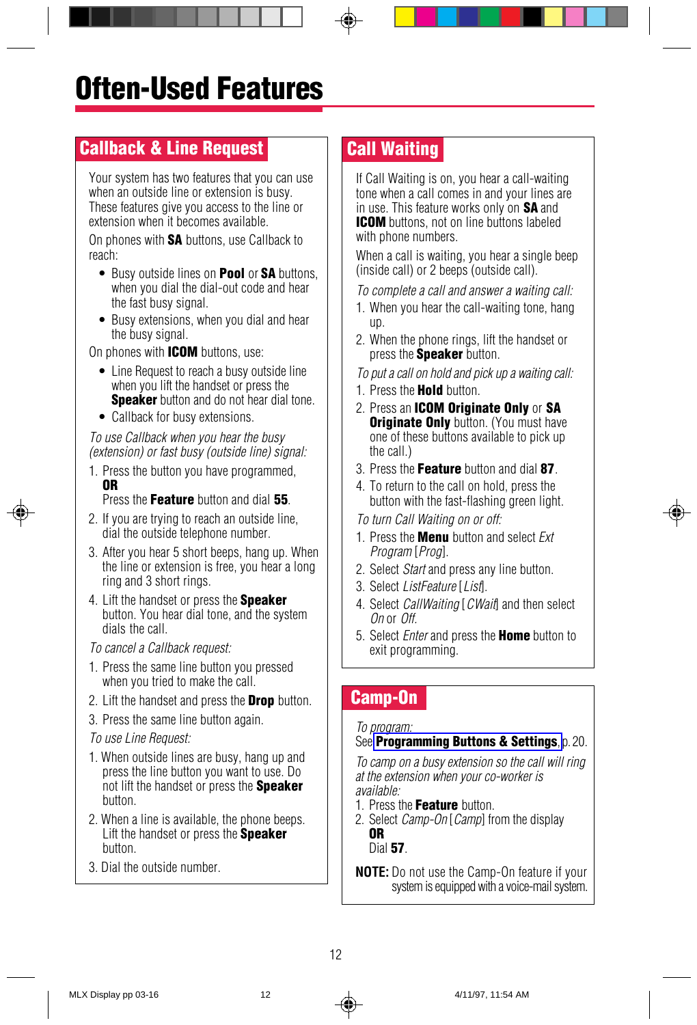## <span id="page-13-3"></span><span id="page-13-0"></span>Callback & Line Request

Your system has two features that you can use when an outside line or extension is busy. These features give you access to the line or extension when it becomes available.

On phones with **SA** buttons, use Callback to reach:

- Busy outside lines on **Pool** or **SA** buttons. when you dial the dial-out code and hear the fast busy signal.
- Busy extensions, when you dial and hear the busy signal.

On phones with **ICOM** buttons, use:

- Line Request to reach a busy outside line when you lift the handset or press the **Speaker** button and do not hear dial tone.
- Callback for busy extensions.

To use Callback when you hear the busy (extension) or fast busy (outside line) signal:

1. Press the button you have programmed, OR

Press the Feature button and dial 55

- <span id="page-13-4"></span>2. If you are trying to reach an outside line, dial the outside telephone number.
- 3. After you hear 5 short beeps, hang up. When the line or extension is free, you hear a long ring and 3 short rings.
- 4. Lift the handset or press the **Speaker** button. You hear dial tone, and the system dials the call.

To cancel a Callback request:

- 1. Press the same line button you pressed when you tried to make the call.
- 2. Lift the handset and press the **Drop** button.
- 3. Press the same line button again.

#### To use Line Request:

- 1. When outside lines are busy, hang up and press the line button you want to use. Do not lift the handset or press the **Speaker** button.
- 2. When a line is available, the phone beeps. Lift the handset or press the **Speaker** button.
- 3. Dial the outside number.

## Call Waiting

If Call Waiting is on, you hear a call-waiting tone when a call comes in and your lines are in use. This feature works only on **SA** and **ICOM** buttons, not on line buttons labeled with phone numbers.

When a call is waiting, you hear a single beep (inside call) or 2 beeps (outside call).

To complete a call and answer a waiting call:

- 1. When you hear the call-waiting tone, hang up.
- 2. When the phone rings, lift the handset or press the **Speaker** button.

To put a call on hold and pick up a waiting call:

- 1. Press the **Hold** button.
- 2. Press an **ICOM Originate Only** or SA **Originate Only** button. (You must have one of these buttons available to pick up the call.)
- 3. Press the Feature button and dial 87
- 4. To return to the call on hold, press the button with the fast-flashing green light.

To turn Call Waiting on or off:

- 1. Press the **Menu** button and select *Fxt* Program [Prog].
- 2. Select Start and press any line button.
- 3. Select ListFeature [List].
- 4. Select *CallWaiting* [*CWait*] and then select On or Off.
- 5. Select *Enter* and press the **Home** button to exit programming.

### Camp-On

#### To program:

#### See **[Programming Buttons & Settings](#page-22-1)**, p. 20.

To camp on a busy extension so the call will ring at the extension when your co-worker is available:

- 1. Press the Feature button.
- 2. Select Camp-On [Camp] from the display OR

<span id="page-13-2"></span>Dial 57.

<span id="page-13-1"></span>**NOTE:** Do not use the Camp-On feature if your system is equipped with a voice-mail system.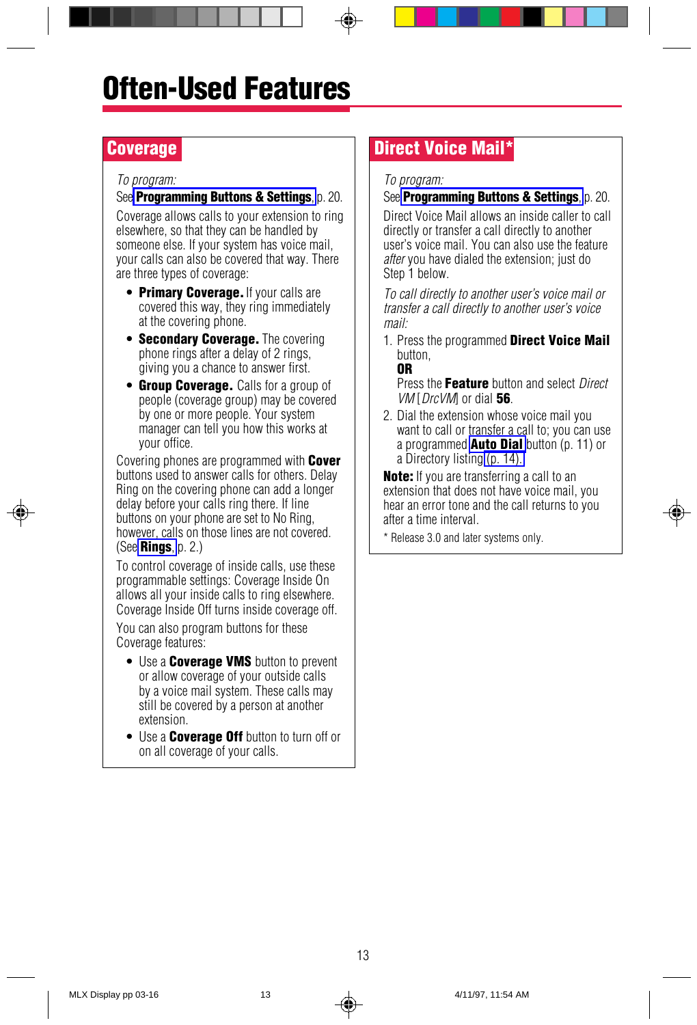### <span id="page-14-3"></span><span id="page-14-2"></span><span id="page-14-0"></span>**Coverage**

#### To program:

#### See **Programming Buttons & Settings**, p. 20.

Coverage allows calls to your extension to ring elsewhere, so that they can be handled by someone else. If your system has voice mail, your calls can also be covered that way. There are three types of coverage:

- **Primary Coverage.** If your calls are covered this way, they ring immediately at the covering phone.
- Secondary Coverage. The covering phone rings after a delay of 2 rings, giving you a chance to answer first.
- **Group Coverage.** Calls for a group of people (coverage group) may be covered by one or more people. Your system manager can tell you how this works at your office.

Covering phones are programmed with **Cover** buttons used to answer calls for others. Delay Ring on the covering phone can add a longer delay before your calls ring there. If line buttons on your phone are set to No Ring, however, calls on those lines are not covered. (See **[Rings](#page-3-4)**,  $p$ ,  $2$ .)

To control coverage of inside calls, use these programmable settings: Coverage Inside On allows all your inside calls to ring elsewhere. Coverage Inside Off turns inside coverage off.

You can also program buttons for these Coverage features:

- Use a **Coverage VMS** button to prevent or allow coverage of your outside calls by a voice mail system. These calls may still be covered by a person at another extension.
- <span id="page-14-4"></span><span id="page-14-1"></span>• Use a **Coverage Off** button to turn off or on all coverage of your calls.

## Direct Voice Mail\*

#### To program:

#### See **[Programming Buttons & Settings](#page-22-1)**, p. 20.

Direct Voice Mail allows an inside caller to call directly or transfer a call directly to another user's voice mail. You can also use the feature after you have dialed the extension; just do Step 1 below.

To call directly to another user's voice mail or transfer a call directly to another user's voice mail:

1. Press the programmed Direct Voice Mail button,

OR

Press the Feature button and select Direct  $VM$  [DrcVM] or dial 56.

2. Dial the extension whose voice mail you want to call or transfer a call to; you can use a programmed **Auto Dial** button  $(p. 11)$  or a Directory listing [\(p. 14\).](#page-15-3)

**Note:** If you are transferring a call to an extension that does not have voice mail, you hear an error tone and the call returns to you after a time interval.

\* Release 3.0 and later systems only.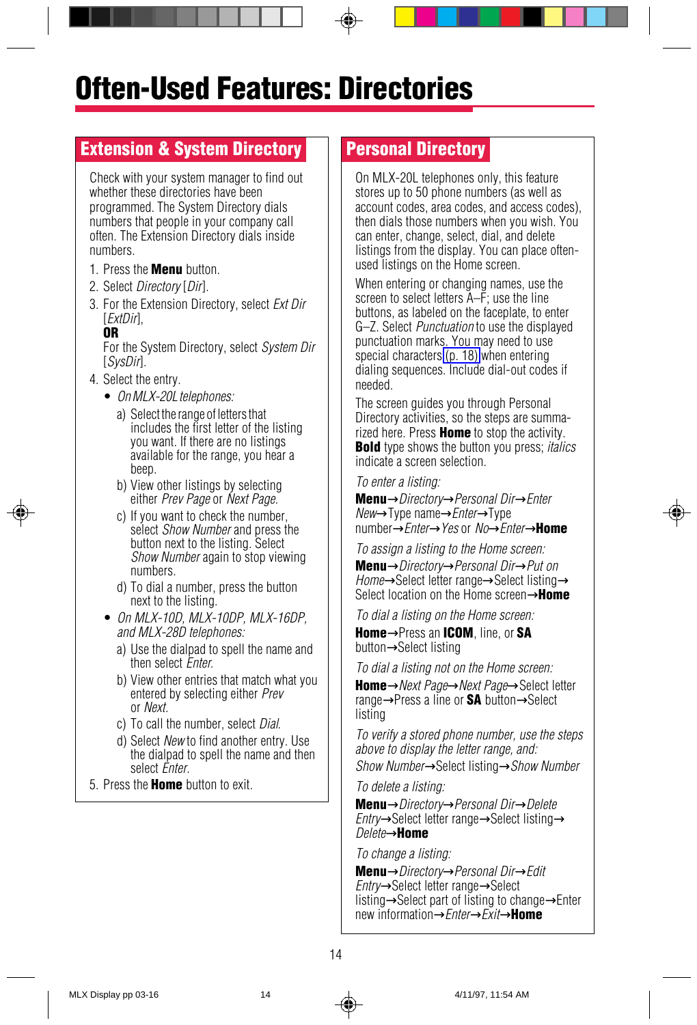## <span id="page-15-3"></span><span id="page-15-2"></span><span id="page-15-0"></span>Often-Used Features: Directories

## <span id="page-15-5"></span><span id="page-15-4"></span>Extension & System Directory

Check with your system manager to find out whether these directories have been programmed. The System Directory dials numbers that people in your company call often. The Extension Directory dials inside numbers.

- 1. Press the **Menu** button.
- 2. Select Directory [Dir].
- 3. For the Extension Directory, select Ext Dir [ExtDir],

#### OR

For the System Directory, select System Dir [SysDir].

- 4. Select the entry.
	- On MLX-20L telephones:
		- a) Select the range of letters that includes the first letter of the listing you want. If there are no listings available for the range, you hear a beep.
		- b) View other listings by selecting either Prev Page or Next Page.
		- c) If you want to check the number, select *Show Number* and press the button next to the listing. Select Show Number again to stop viewing numbers.
		- d) To dial a number, press the button next to the listing.
	- On MLX-10D, MLX-10DP, MLX-16DP, and MLX-28D telephones:
		- a) Use the dialpad to spell the name and then select Enter.
		- b) View other entries that match what you entered by selecting either Prev or Next.
		- c) To call the number, select Dial.
		- d) Select New to find another entry. Use the dialpad to spell the name and then select *Enter*.
- 5. Press the **Home** button to exit.

### Personal Directory

On MLX-20L telephones only, this feature stores up to 50 phone numbers (as well as account codes, area codes, and access codes), then dials those numbers when you wish. You can enter, change, select, dial, and delete listings from the display. You can place oftenused listings on the Home screen.

When entering or changing names, use the screen to select letters  $\tilde{A}-\tilde{F}$ ; use the line buttons, as labeled on the faceplate, to enter G–Z. Select Punctuation to use the displayed punctuation marks. You may need to use special characters [\(p. 18\)](#page-19-4) when entering dialing sequences. Include dial-out codes if needed.

The screen guides you through Personal Directory activities, so the steps are summarized here. Press **Home** to stop the activity. **Bold** type shows the button you press: *italics* indicate a screen selection.

#### To enter a listing:

Menu→Directory→Personal Dir→Enter New→Type name→Enter→Type number→*Enter→Yes* or *No→Enter*→**Home** 

To assign a listing to the Home screen: Menu→Directory→Personal Dir→Put on Home→Select letter range→Select listing→ Select location on the Home screen→Home

To dial a listing on the Home screen:

Home→Press an ICOM, line, or SA button→Select listing

To dial a listing not on the Home screen:

Home→Next Page→Next Page→Select letter range→Press a line or **SA** button→Select listing

To verify a stored phone number, use the steps above to display the letter range, and:

Show Number→Select listing→Show Number

To delete a listing:

Menu→Directory→Personal Dir→Delete Entry→Select letter range→Select listing→ Delete→Home

To change a listing:

<span id="page-15-6"></span><span id="page-15-1"></span>Menu→Directory→Personal Dir→Edit Entry→Select letter range→Select listing→Select part of listing to change→Enter new information→*Enter→Exit*→Home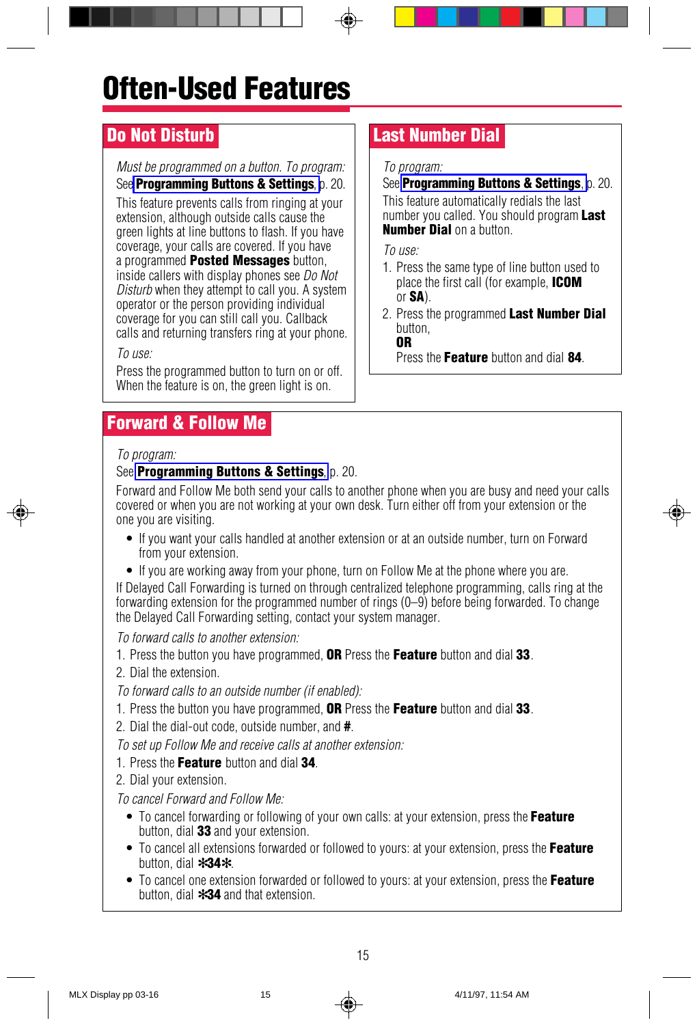# Often-Used Features

## <span id="page-16-1"></span><span id="page-16-0"></span>Do Not Disturb

#### Must be programmed on a button. To program:

See **[Programming Buttons & Settings](#page-22-1)**, p. 20. This feature prevents calls from ringing at your extension, although outside calls cause the green lights at line buttons to flash. If you have coverage, your calls are covered. If you have a programmed **Posted Messages** button, inside callers with display phones see Do Not Disturb when they attempt to call you. A system operator or the person providing individual coverage for you can still call you. Callback calls and returning transfers ring at your phone.

#### To use:

Press the programmed button to turn on or off. When the feature is on, the green light is on.

## <span id="page-16-2"></span>Forward & Follow Me

#### To program:

#### See [Programming Buttons & Settings](#page-22-1), p. 20.

Forward and Follow Me both send your calls to another phone when you are busy and need your calls covered or when you are not working at your own desk. Turn either off from your extension or the one you are visiting.

- If you want your calls handled at another extension or at an outside number, turn on Forward from your extension.
- If you are working away from your phone, turn on Follow Me at the phone where you are.

If Delayed Call Forwarding is turned on through centralized telephone programming, calls ring at the forwarding extension for the programmed number of rings (0–9) before being forwarded. To change the Delayed Call Forwarding setting, contact your system manager.

To forward calls to another extension:

- 1. Press the button you have programmed. **OR** Press the Feature button and dial 33.
- 2. Dial the extension.

To forward calls to an outside number (if enabled):

- 1. Press the button you have programmed. **OR** Press the Feature button and dial 33.
- 2. Dial the dial-out code, outside number, and #.
- To set up Follow Me and receive calls at another extension:
- 1. Press the Feature button and dial 34.

2. Dial your extension.

To cancel Forward and Follow Me:

- To cancel forwarding or following of your own calls: at your extension, press the Feature button, dial 33 and your extension.
- To cancel all extensions forwarded or followed to yours: at your extension, press the Feature button, dial ✻34✻.
- <span id="page-16-3"></span>• To cancel one extension forwarded or followed to yours: at your extension, press the Feature button, dial ✻34 and that extension.

## Last Number Dial

#### To program:

See **[Programming Buttons & Settings](#page-22-1)**, p. 20. This feature automatically redials the last number you called. You should program Last Number Dial on a button.

To use:

- 1. Press the same type of line button used to place the first call (for example, ICOM or SA).
- 2. Press the programmed Last Number Dial button, OR

Press the Feature button and dial 84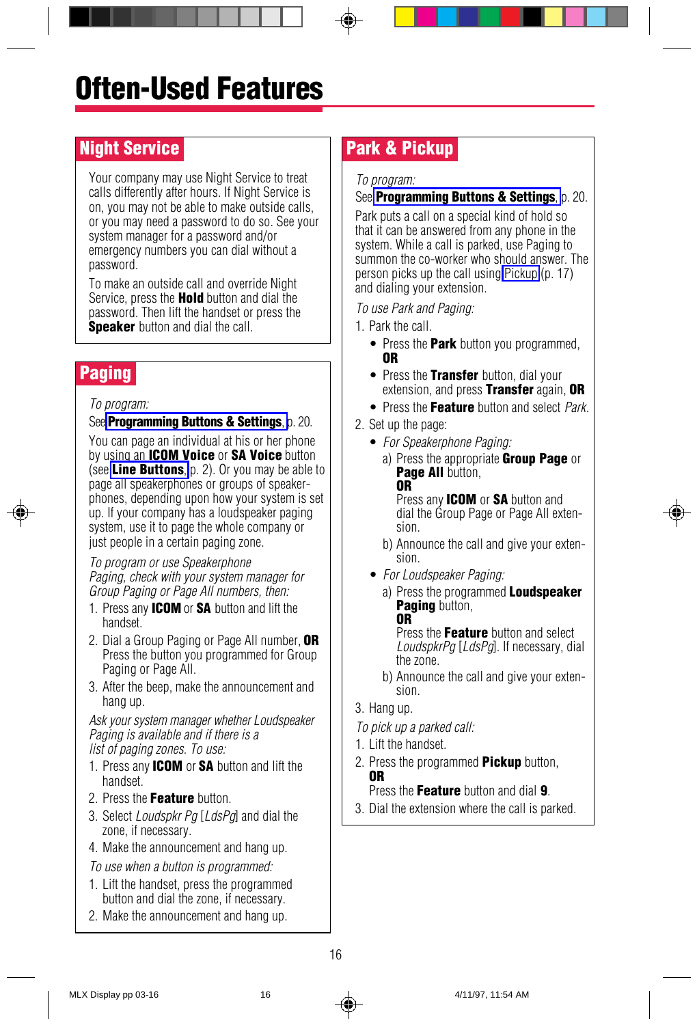## <span id="page-17-4"></span><span id="page-17-2"></span><span id="page-17-0"></span>Night Service

Your company may use Night Service to treat calls differently after hours. If Night Service is on, you may not be able to make outside calls, or you may need a password to do so. See your system manager for a password and/or emergency numbers you can dial without a password.

To make an outside call and override Night Service, press the **Hold** button and dial the password. Then lift the handset or press the **Speaker** button and dial the call.

## <span id="page-17-3"></span><span id="page-17-1"></span>Paging

#### To program:

See **[Programming Buttons & Settings](#page-22-1)**, p. 20.

You can page an individual at his or her phone by using an **ICOM Voice** or SA Voice button (see **[Line Buttons](#page-3-2)**, p. 2). Or you may be able to page all speakerphones or groups of speakerphones, depending upon how your system is set up. If your company has a loudspeaker paging system, use it to page the whole company or just people in a certain paging zone.

To program or use Speakerphone Paging, check with your system manager for Group Paging or Page All numbers, then:

- 1. Press any **ICOM** or **SA** button and lift the handset.
- 2. Dial a Group Paging or Page All number. OR Press the button you programmed for Group Paging or Page All.
- 3. After the beep, make the announcement and hang up.

Ask your system manager whether Loudspeaker Paging is available and if there is a list of paging zones. To use:

- 1. Press any **ICOM** or **SA** button and lift the handset.
- 2. Press the Feature button.
- 3. Select *Loudspkr Pa [LdsPa]* and dial the zone, if necessary.
- 4. Make the announcement and hang up.

To use when a button is programmed:

- 1. Lift the handset, press the programmed button and dial the zone, if necessary.
- 2. Make the announcement and hang up.

## Park & Pickup

#### To program:

#### See **[Programming Buttons & Settings](#page-22-1)**, p. 20.

Park puts a call on a special kind of hold so that it can be answered from any phone in the system. While a call is parked, use Paging to summon the co-worker who should answer. The person picks up the call using [Pickup](#page-18-1) (p. 17) and dialing your extension.

To use Park and Paging:

- 1. Park the call.
	- Press the **Park** button you programmed. OR
	- Press the Transfer button, dial your extension, and press Transfer again, OR
	- Press the Feature button and select Park.
- 2. Set up the page:
	- For Speakerphone Paging:
		- a) Press the appropriate **Group Page** or Page All button, OR Press any **ICOM** or SA button and dial the Group Page or Page All exten-

sion. b) Announce the call and give your extension.

- For Loudspeaker Paging:
	- a) Press the programmed **Loudspeaker** Paging button, OR

Press the Feature button and select LoudspkrPg [LdsPg]. If necessary, dial the zone.

- b) Announce the call and give your extension.
- 3. Hang up.
- To pick up a parked call:
- 1. Lift the handset.
- 2. Press the programmed **Pickup** button, OR

Press the **Feature** button and dial 9.

3. Dial the extension where the call is parked.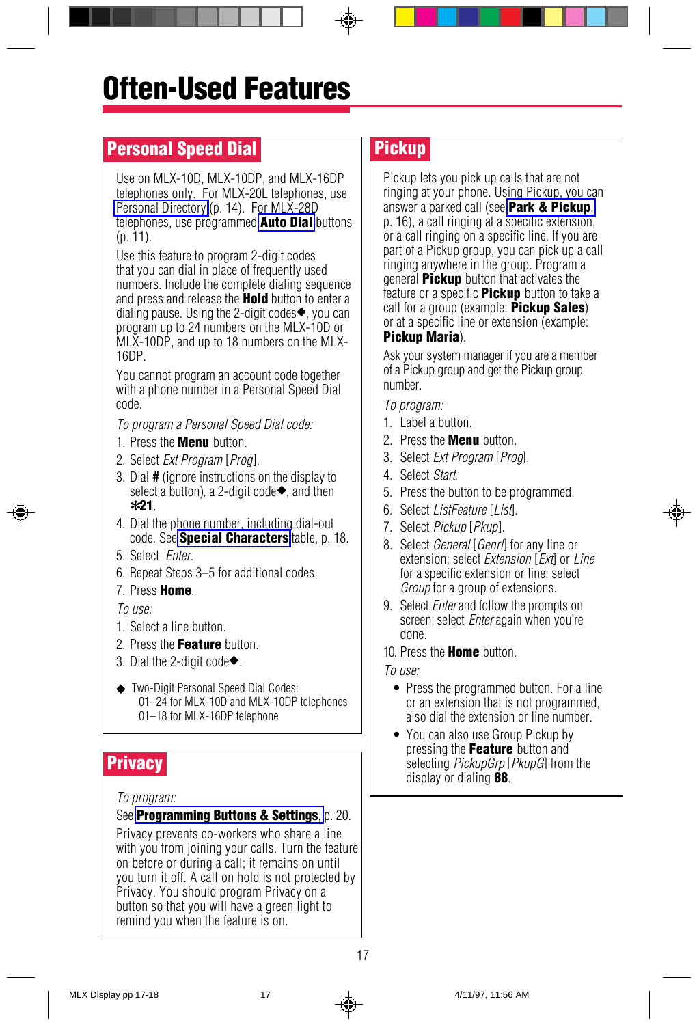## <span id="page-18-1"></span><span id="page-18-0"></span>**Personal Speed Dial**

Use on MLX-10D, MLX-10DP, and MLX-16DP telephones only. For MLX-20L telephones, use [Personal Directory](#page-15-4) (p. 14). For MLX-28D telephones, use programmed **[Auto Dial](#page-12-1)** buttons (p. 11).

Use this feature to program 2-digit codes that you can dial in place of frequently used numbers. Include the complete dialing sequence and press and release the Hold button to enter a dialing pause. Using the 2-digit codes◆, you can program up to 24 numbers on the MLX-10D or MLX-10DP, and up to 18 numbers on the MLX-16DP.

You cannot program an account code together with a phone number in a Personal Speed Dial code.

To program a Personal Speed Dial code:

- 1. Press the **Menu** button.
- 2. Select Ext Program [Prog].
- 3. Dial # (ignore instructions on the display to select a button), a 2-digit code<sup>→</sup>, and then ✻21.
- <span id="page-18-2"></span>4. Dial the phone number, including dial-out code. See **[Special Characters](#page-19-5)** table, p. 18.
- 5. Select Enter.
- 6. Repeat Steps 3–5 for additional codes.
- 7. Press Home.

#### $T_0$  use:

- 1. Select a line button.
- 2. Press the Feature button.
- 3. Dial the 2-digit code◆.
- ◆ Two-Digit Personal Speed Dial Codes: 01–24 for MLX-10D and MLX-10DP telephones 01–18 for MLX-16DP telephone

#### To program:

#### See **[Programming Buttons & Settings](#page-22-1)**, p. 20.

Privacy prevents co-workers who share a line with you from joining your calls. Turn the feature on before or during a call; it remains on until you turn it off. A call on hold is not protected by Privacy. You should program Privacy on a button so that you will have a green light to remind you when the feature is on.

## Pickup

Pickup lets you pick up calls that are not ringing at your phone. Using Pickup, you can answer a parked call (see [Park & Pickup](#page-17-4), p. 16), a call ringing at a specific extension, or a call ringing on a specific line. If you are part of a Pickup group, you can pick up a call ringing anywhere in the group. Program a general **Pickup** button that activates the feature or a specific **Pickup** button to take a call for a group (example:  $Pickup Sales)$ or at a specific line or extension (example: Pickup Maria).

Ask your system manager if you are a member of a Pickup group and get the Pickup group number.

To program:

- 1. Label a button.
- 2. Press the **Menu** button.
- 3. Select Ext Program [Prog].
- 4. Select Start.
- 5. Press the button to be programmed.
- 6. Select ListFeature [List].
- 7. Select Pickup [Pkup].
- 8. Select *General* [*Genri*] for any line or extension; select *Extension* [Ext] or Line for a specific extension or line; select Group for a group of extensions.
- 9. Select *Enter* and follow the prompts on screen; select *Enter* again when you're done.

10. Press the **Home** button.

To use:

- <span id="page-18-3"></span>• Press the programmed button. For a line or an extension that is not programmed, also dial the extension or line number.
- You can also use Group Pickup by pressing the Feature button and **Privacy**<br>
and the display or dialing **88**.<br>
all display or dialing **88**.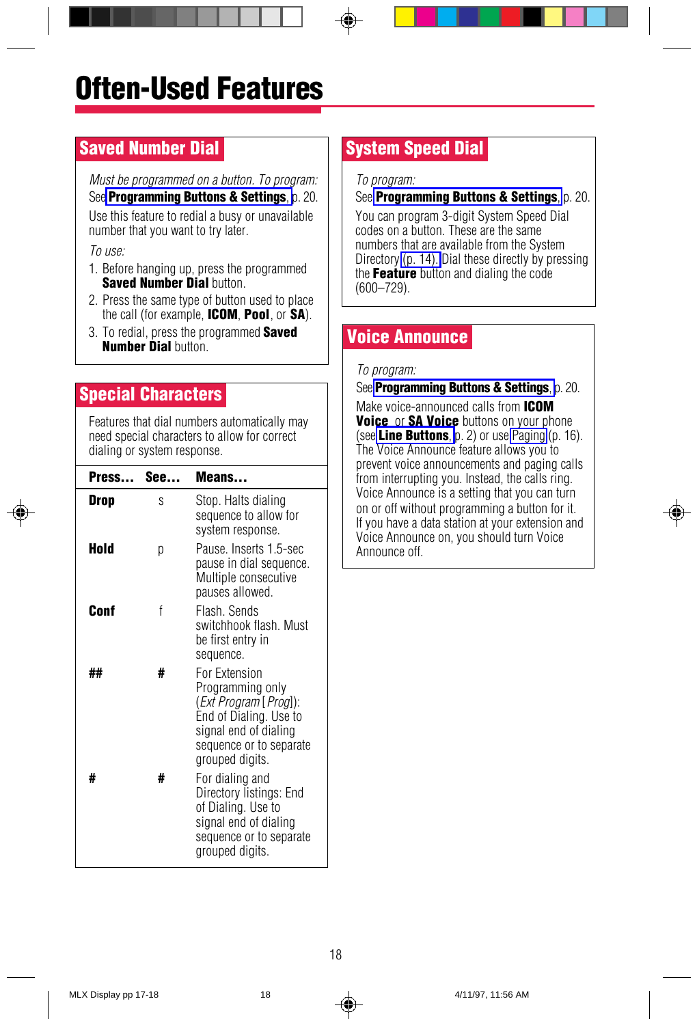## <span id="page-19-1"></span><span id="page-19-0"></span>Saved Number Dial

Must be programmed on a button. To program: See **[Programming Buttons & Settings](#page-22-1)**, p. 20.

Use this feature to redial a busy or unavailable number that you want to try later.

To use:

- 1. Before hanging up, press the programmed Saved Number Dial button
- 2. Press the same type of button used to place the call (for example, **ICOM, Pool**, or **SA**).
- <span id="page-19-3"></span><span id="page-19-2"></span>3. To redial, press the programmed **Saved Number Dial button.**

## <span id="page-19-5"></span><span id="page-19-4"></span>Special Characters

Features that dial numbers automatically may need special characters to allow for correct dialing or system response.

| Press | See | Means                                                                                                                                                        |
|-------|-----|--------------------------------------------------------------------------------------------------------------------------------------------------------------|
| Drop  | S   | Stop. Halts dialing<br>sequence to allow for<br>system response.                                                                                             |
| Hold  | р   | Pause, Inserts 1.5-sec<br>pause in dial sequence.<br>Multiple consecutive<br>pauses allowed.                                                                 |
| Conf  | f   | Flash, Sends<br>switchhook flash. Must<br>be first entry in<br>sequence.                                                                                     |
| ##    | #   | For Extension<br>Programming only<br>(Ext Program [ Prog]):<br>End of Dialing. Use to<br>signal end of dialing<br>sequence or to separate<br>grouped digits. |
| #     | #   | For dialing and<br>Directory listings: End<br>of Dialing. Use to<br>signal end of dialing<br>sequence or to separate<br>grouped digits.                      |

## System Speed Dial

To program:

#### See **[Programming Buttons & Settings](#page-22-1)**, p. 20.

You can program 3-digit System Speed Dial codes on a button. These are the same numbers that are available from the System Directory [\(p. 14\).](#page-15-5) Dial these directly by pressing the **Feature** button and dialing the code (600–729).

## Voice Announce

#### To program:

See **[Programming Buttons & Settings](#page-22-1)**, p. 20.

Make voice-announced calls from **ICOM** Voice or SA Voice buttons on your phone (see [Line Buttons](#page-3-2), p. 2) or use [Paging](#page-17-1)  $(p, 16)$ . The Voice Announce feature allows you to prevent voice announcements and paging calls from interrupting you. Instead, the calls ring. Voice Announce is a setting that you can turn on or off without programming a button for it. If you have a data station at your extension and Voice Announce on, you should turn Voice Announce off.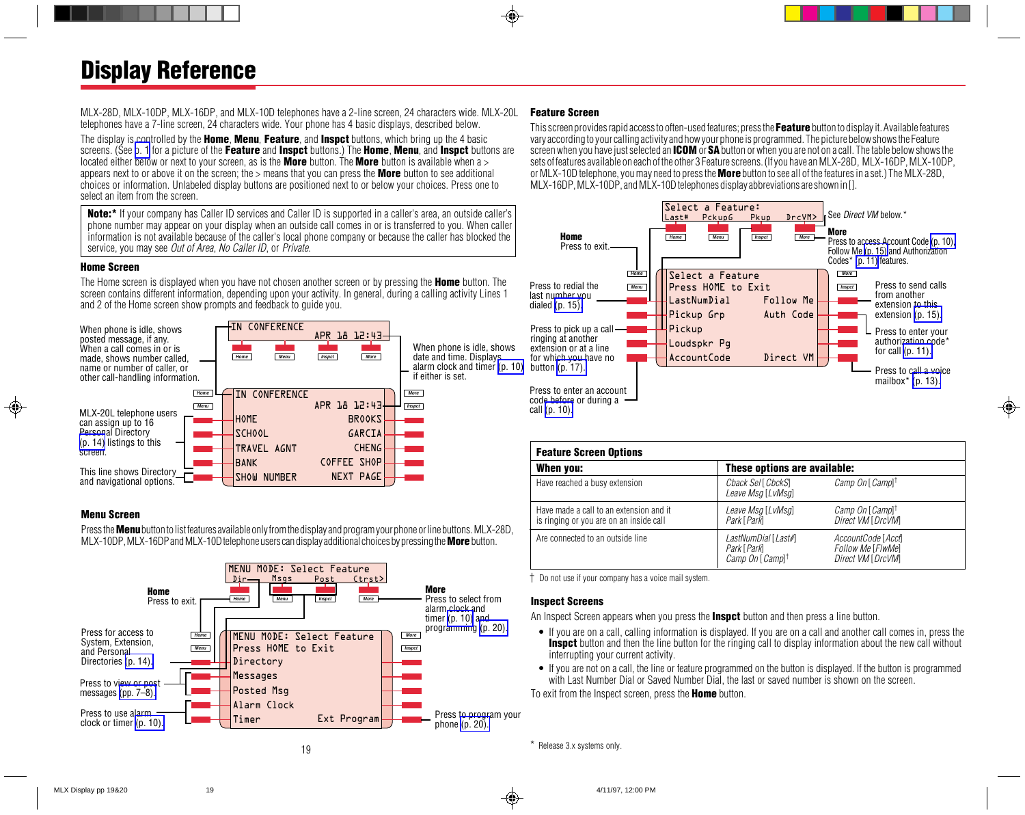<span id="page-20-2"></span>MLX-28D, MLX-10DP, MLX-16DP, and MLX-10D telephones have a 2-line screen, 24 characters wide. MLX-20L telephones have a 7-line screen, 24 characters wide. Your phone has 4 basic displays, described below.

The display is controlled by the **Home, Menu, Feature,** and **Inspct** buttons, which bring up the 4 basic screens. (See [p. 1](#page-2-3) for a picture of the Feature and Inspct buttons.) The Home, Menu, and Inspct buttons are located either below or next to your screen, as is the **More** button. The **More** button is available when a > appears next to or above it on the screen; the  $>$  means that you can press the **More** button to see additional choices or information. Unlabeled display buttons are positioned next to or below your choices. Press one to select an item from the screen.

Note:\* If your company has Caller ID services and Caller ID is supported in a caller's area, an outside caller's phone number may appear on your display when an outside call comes in or is transferred to you. When caller information is not available because of the caller's local phone company or because the caller has blocked the service, you may see Out of Area, No Caller ID, or Private.

#### Home Screen

The Home screen is displayed when you have not chosen another screen or by pressing the **Home** button. The screen contains different information, depending upon your activity. In general, during a calling activity Lines 1 and 2 of the Home screen show prompts and feedback to guide you.



#### Menu Screen

Press the **Menu** button to list features available only from the display and program your phone or line buttons. MLX-28D, MLX-10DP, MLX-16DP and MLX-10D telephone users can display additional choices by pressing the **More** button.



### <span id="page-20-1"></span><span id="page-20-0"></span>Feature Screen

This screen provides rapid access to often-used features; press the Feature button to display it. Available features vary according to your calling activity and how your phone is programmed. The picture below shows the Feature screen when you have just selected an **ICOM** or SA button or when you are not on a call. The table below shows the sets of features available on each of the other 3 Feature screens. (If you have an MLX-28D, MLX-16DP, MLX-10DP, or MLX-10D telephone, you may need to press the **More** button to see all of the features in a set.) The MLX-28D, MLX-16DP, MLX-10DP, and MLX-10D telephones display abbreviations are shown in [].



| <b>Feature Screen Options</b>                                                      |                                                                   |                                                              |  |  |
|------------------------------------------------------------------------------------|-------------------------------------------------------------------|--------------------------------------------------------------|--|--|
| When you:                                                                          |                                                                   | These options are available:                                 |  |  |
| Have reached a busy extension                                                      | Chack Sel [ ChckS]<br>Leave Msg [LvMsg]                           | Camp On [ Camp] <sup>†</sup>                                 |  |  |
| Have made a call to an extension and it<br>is ringing or you are on an inside call | Leave Msg [LvMsg]<br>Park [ Park]                                 | Camp On [Camp] <sup>†</sup><br>Direct VM [DrcVM]             |  |  |
| Are connected to an outside line                                                   | LastNumDial [Last#]<br>Park [Park]<br>Camp On [Camp] <sup>†</sup> | AccountCode [Accf]<br>Follow Me [FlwMe]<br>Direct VM [DrcVM] |  |  |

† Do not use if your company has a voice mail system.

#### Inspect Screens

An Inspect Screen appears when you press the **Inspet** button and then press a line button.

- If you are on a call, calling information is displayed. If you are on a call and another call comes in, press the Inspct button and then the line button for the ringing call to display information about the new call without interrupting your current activity.
- If you are not on a call, the line or feature programmed on the button is displayed. If the button is programmed with Last Number Dial or Saved Number Dial, the last or saved number is shown on the screen.

To exit from the Inspect screen, press the **Home** button.

\* Release 3.x systems only.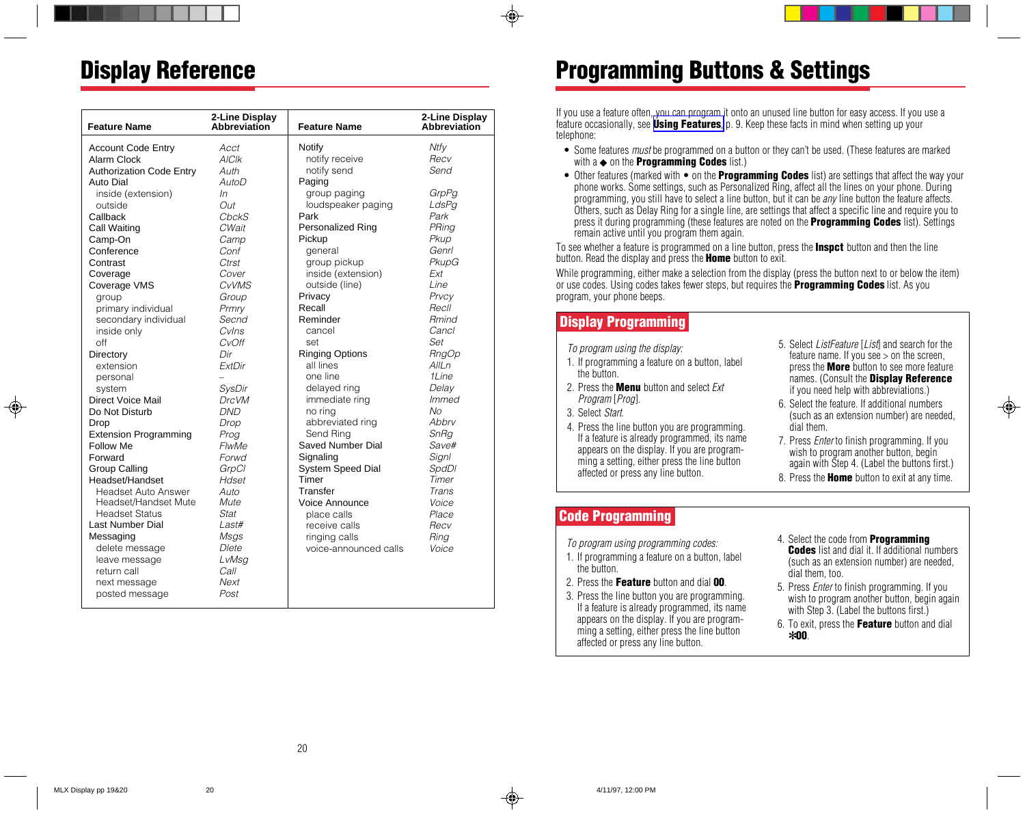## <span id="page-21-5"></span>Display Reference

| <b>Feature Name</b>             | 2-Line Display<br><b>Abbreviation</b> | <b>Feature Name</b>      | 2-Line Display<br>Abbreviation |
|---------------------------------|---------------------------------------|--------------------------|--------------------------------|
|                                 |                                       |                          |                                |
| <b>Account Code Entry</b>       | Acct                                  | Notify                   | Ntfy                           |
| Alarm Clock                     | <b>AICIK</b>                          | notify receive           | Recv                           |
| <b>Authorization Code Entry</b> | Auth                                  | notify send              | Send                           |
| Auto Dial                       | AutoD                                 | Paging                   |                                |
| inside (extension)              | In                                    | group paging             | GrpPa                          |
| outside                         | Out                                   | loudspeaker paging       | LdsPg                          |
| Callback                        | ChckS                                 | Park                     | Park                           |
| Call Waiting                    | CWait                                 | <b>Personalized Ring</b> | PRing                          |
| Camp-On                         | Camp                                  | Pickup                   | Pkup                           |
| Conference                      | Conf                                  | general                  | Genrl                          |
| Contrast                        | Ctrst                                 | group pickup             | PkupG                          |
| Coverage                        | Cover                                 | inside (extension)       | Ext                            |
| Coverage VMS                    | <b>CvVMS</b>                          | outside (line)           | Line                           |
| group                           | Group                                 | Privacy                  | Prvcv                          |
| primary individual              | Prmry                                 | Recall                   | Recll                          |
| secondary individual            | Secnd                                 | Reminder                 | <b>Rmind</b>                   |
| inside only                     | Cylns                                 | cancel                   | Cancl                          |
| off                             | CvOff                                 | set                      | Set                            |
| Directory                       | Dir                                   | <b>Ringing Options</b>   | <b>RngOp</b>                   |
| extension                       | <b>ExtDir</b>                         | all lines                | AllLn                          |
| personal                        |                                       | one line                 | 1Line                          |
| system                          | <b>SysDir</b>                         | delayed ring             | Delay                          |
| Direct Voice Mail               | <b>DrcVM</b>                          | immediate ring           | Immed                          |
| Do Not Disturb                  | <b>DND</b>                            | no ring                  | Nο                             |
| Drop                            | Drop                                  | abbreviated ring         | Abbry                          |
| <b>Extension Programming</b>    | Prog                                  | Send Ring                | SnRg                           |
| <b>Follow Me</b>                | <b>FlwMe</b>                          | <b>Saved Number Dial</b> | Save#                          |
| Forward                         | Forwd                                 | Signaling                | Signl                          |
| <b>Group Calling</b>            | GrpCl                                 | System Speed Dial        | <b>SpdDl</b>                   |
| Headset/Handset                 | Hdset                                 | Timer                    | Timer                          |
| Headset Auto Answer             | Auto                                  | Transfer                 | Trans                          |
| Headset/Handset Mute            | Mute                                  | Voice Announce           | Voice                          |
| <b>Headset Status</b>           | Stat                                  | place calls              | Place                          |
| Last Number Dial                | Last#                                 | receive calls            | Recv                           |
| Messaging                       | Msgs                                  | ringing calls            | Ring                           |
| delete message                  | Dlete                                 | voice-announced calls    | Voice                          |
| leave message                   | LvMsg                                 |                          |                                |
| return call                     | Call                                  |                          |                                |
| next message                    | Next                                  |                          |                                |
| posted message                  | Post                                  |                          |                                |

## <span id="page-21-6"></span><span id="page-21-4"></span><span id="page-21-3"></span><span id="page-21-0"></span>Programming Buttons & Settings

If you use a feature often, you can program it onto an unused line button for easy access. If you use a feature occasionally, see [Using Features](#page-10-2), p. 9. Keep these facts in mind when setting up your telephone:

- Some features *must* be programmed on a button or they can't be used. (These features are marked with  $a \triangleleft$  on the **Programming Codes** list.)
- $\bullet$  Other features (marked with  $\bullet$  on the **Programming Codes** list) are settings that affect the way your phone works. Some settings, such as Personalized Ring, affect all the lines on your phone. During programming, you still have to select a line button, but it can be any line button the feature affects. Others, such as Delay Ring for a single line, are settings that affect a specific line and require you to press it during programming (these features are noted on the **Programming Codes** list). Settings remain active until you program them again.

To see whether a feature is programmed on a line button, press the **Inspct** button and then the line button. Read the display and press the **Home** button to exit.

While programming, either make a selection from the display (press the button next to or below the item) or use codes. Using codes takes fewer steps, but requires the **Programming Codes** list. As you program, your phone beeps.

## <span id="page-21-2"></span>Display Programming

To program using the display:

- 1. If programming a feature on a button, label the button.
- 2. Press the **Menu** button and select *Ext* Program [Prog].
- 3. Select Start.
- 4. Press the line button you are programming. If a feature is already programmed, its name appears on the display. If you are programming a setting, either press the line button affected or press any line button.
- <span id="page-21-1"></span>5. Select *ListFeature* [*List*] and search for the feature name. If you see  $>$  on the screen, press the **More** button to see more feature names. (Consult the Display Reference if you need help with abbreviations.)
- 6. Select the feature. If additional numbers (such as an extension number) are needed, dial them.
- 7. Press *Enter* to finish programming. If you wish to program another button, begin again with Step 4. (Label the buttons first.)
- 8. Press the **Home** button to exit at any time.

## Code Programming

To program using programming codes:

- 1. If programming a feature on a button, label the button.
- 2. Press the Feature button and dial 00.
- 3. Press the line button you are programming. If a feature is already programmed, its name appears on the display. If you are programming a setting, either press the line button affected or press any line button.
- 4. Select the code from Programming **Codes** list and dial it. If additional numbers (such as an extension number) are needed, dial them, too.
- 5. Press Enter to finish programming. If you wish to program another button, begin again with Step 3. (Label the buttons first.)
- 6. To exit, press the Feature button and dial ✻00.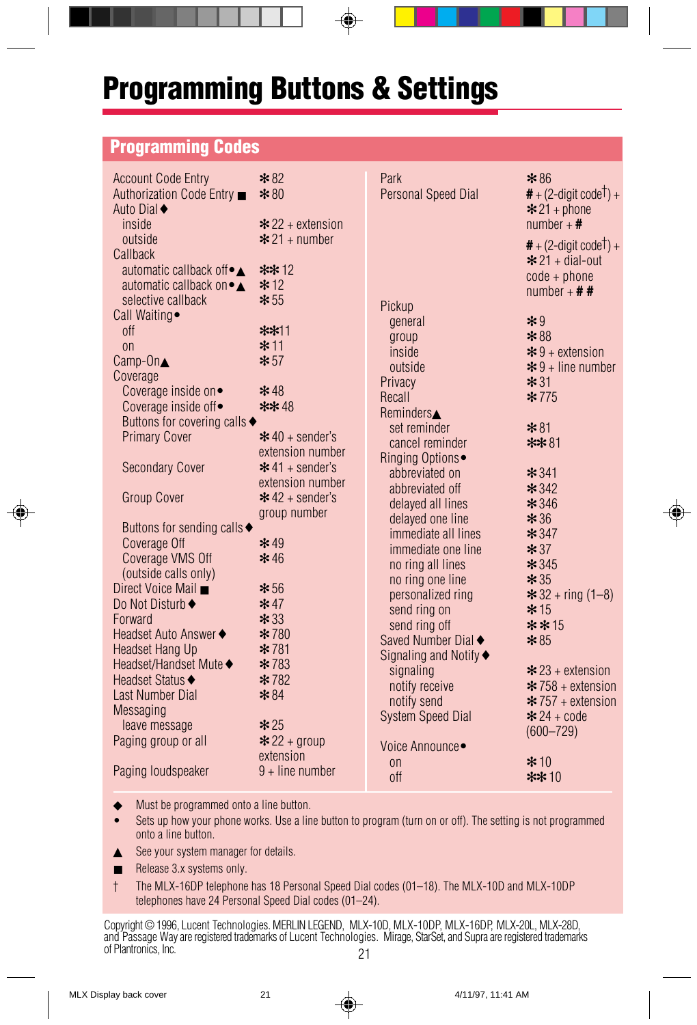## <span id="page-22-1"></span>Programming Buttons & Settings

## <span id="page-22-0"></span>Programming Codes

| <b>Account Code Entry</b><br>Authorization Code Entry ■<br>Auto Dial <sup>♦</sup><br>inside<br>outside<br>Callback                                                  | $*82$<br>$*80$<br>$*$ 22 + extension<br>$\div$ 21 + number                             | Park<br><b>Personal Speed Dial</b>                                                                                                          | $*86$<br>$#$ + (2-digit code <sup>†</sup> ) +<br>$* 21 + phone$<br>number + $\#$<br>$#$ + (2-digit code <sup>†</sup> ) + |
|---------------------------------------------------------------------------------------------------------------------------------------------------------------------|----------------------------------------------------------------------------------------|---------------------------------------------------------------------------------------------------------------------------------------------|--------------------------------------------------------------------------------------------------------------------------|
| automatic callback of $\bullet \blacktriangle$<br>automatic callback on • ▲<br>selective callback<br>Call Waiting •<br><b>off</b><br>$_{0n}$<br>$Camp-On \triangle$ | $** 12$<br>$*12$<br>$*55$<br>$**11$<br>$*11$<br>$*57$                                  | Pickup<br>general<br>group<br>inside                                                                                                        | $* 21 + \text{dial-out}$<br>$code + phone$<br>number + $# #$<br>$*9$<br>$*88$<br>$*9 +$ extension                        |
| Coverage<br>Coverage inside on.<br>Coverage inside off•<br>Buttons for covering calls+<br><b>Primary Cover</b>                                                      | $* 48$<br>** 48<br>$*$ 40 + sender's<br>extension number                               | outside<br>Privacy<br>Recall<br>Reminders $\blacktriangle$<br>set reminder<br>cancel reminder                                               | $*9 + line number$<br>$*31$<br>$*775$<br>$*81$<br>$**81$                                                                 |
| <b>Secondary Cover</b><br>Group Cover<br>Buttons for sending calls◆<br>Coverage Off                                                                                 | $*$ 41 + sender's<br>extension number<br>$*$ 42 + sender's<br>group number<br>$*49$    | Ringing Options•<br>abbreviated on<br>abbreviated off<br>delayed all lines<br>delayed one line<br>immediate all lines<br>immediate one line | $*341$<br>$* 342$<br>$* 346$<br>$*36$<br>$* 347$<br>$*37$                                                                |
| Coverage VMS Off<br>(outside calls only)<br>Direct Voice Mail ■<br>Do Not Disturb◆<br>Forward<br>Headset Auto Answer◆<br>Headset Hang Up                            | $*46$<br>$*56$<br>$*47$<br>$*33$<br>* 780<br>$*781$                                    | no ring all lines<br>no ring one line<br>personalized ring<br>send ring on<br>send ring off<br>Saved Number Dial◆<br>Signaling and Notify◆  | $*345$<br>$*35$<br>$* 32 + ring (1 - 8)$<br>$* 15$<br>$* * 15$<br>$*85$                                                  |
| Headset/Handset Mute◆<br>Headset Status◆<br>Last Number Dial<br><b>Messaging</b><br>leave message<br>Paging group or all<br>Paging loudspeaker                      | $*783$<br>$*782$<br>$*84$<br>$*25$<br>$* 22 + group$<br>extension<br>$9 +$ line number | signaling<br>notify receive<br>notify send<br><b>System Speed Dial</b><br>Voice Announce •<br>0n<br><b>off</b>                              | $*$ 23 + extension<br>$*$ 758 + extension<br>$* 757 +$ extension<br>$* 24 + code$<br>$(600 - 729)$<br>$*10$<br>$** 10$   |

◆ Must be programmed onto a line button.

- Sets up how your phone works. Use a line button to program (turn on or off). The setting is not programmed onto a line button.
- ▲ See your system manager for details.
- Release 3.x systems only.
- † The MLX-16DP telephone has 18 Personal Speed Dial codes (01–18). The MLX-10D and MLX-10DP telephones have 24 Personal Speed Dial codes (01–24).

21 Copyright © 1996, Lucent Technologies. MERLIN LEGEND, MLX-10D, MLX-10DP, MLX-16DP, MLX-20L, MLX-28D, and Passage Way are registered trademarks of Lucent Technologies. Mirage, StarSet, and Supra are registered trademarks of Plantronics, Inc.